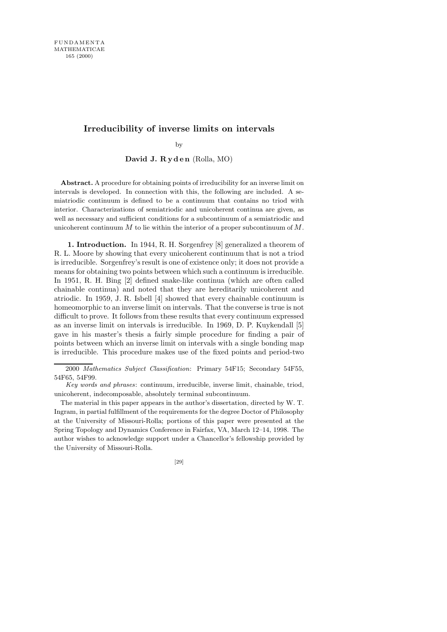# **Irreducibility of inverse limits on intervals**

by

David J. Ryden (Rolla, MO)

**Abstract.** A procedure for obtaining points of irreducibility for an inverse limit on intervals is developed. In connection with this, the following are included. A semiatriodic continuum is defined to be a continuum that contains no triod with interior. Characterizations of semiatriodic and unicoherent continua are given, as well as necessary and sufficient conditions for a subcontinuum of a semiatriodic and unicoherent continuum  $M$  to lie within the interior of a proper subcontinuum of  $M$ .

1. Introduction. In 1944, R. H. Sorgenfrey [8] generalized a theorem of R. L. Moore by showing that every unicoherent continuum that is not a triod is irreducible. Sorgenfrey's result is one of existence only; it does not provide a means for obtaining two points between which such a continuum is irreducible. In 1951, R. H. Bing [2] defined snake-like continua (which are often called chainable continua) and noted that they are hereditarily unicoherent and atriodic. In 1959, J. R. Isbell [4] showed that every chainable continuum is homeomorphic to an inverse limit on intervals. That the converse is true is not difficult to prove. It follows from these results that every continuum expressed as an inverse limit on intervals is irreducible. In 1969, D. P. Kuykendall [5] gave in his master's thesis a fairly simple procedure for finding a pair of points between which an inverse limit on intervals with a single bonding map is irreducible. This procedure makes use of the fixed points and period-two

The material in this paper appears in the author's dissertation, directed by W. T. Ingram, in partial fulfillment of the requirements for the degree Doctor of Philosophy at the University of Missouri-Rolla; portions of this paper were presented at the Spring Topology and Dynamics Conference in Fairfax, VA, March 12–14, 1998. The author wishes to acknowledge support under a Chancellor's fellowship provided by the University of Missouri-Rolla.

[29]

<sup>2000</sup> *Mathematics Subject Classification*: Primary 54F15; Secondary 54F55, 54F65, 54F99.

*Key words and phrases*: continuum, irreducible, inverse limit, chainable, triod, unicoherent, indecomposable, absolutely terminal subcontinuum.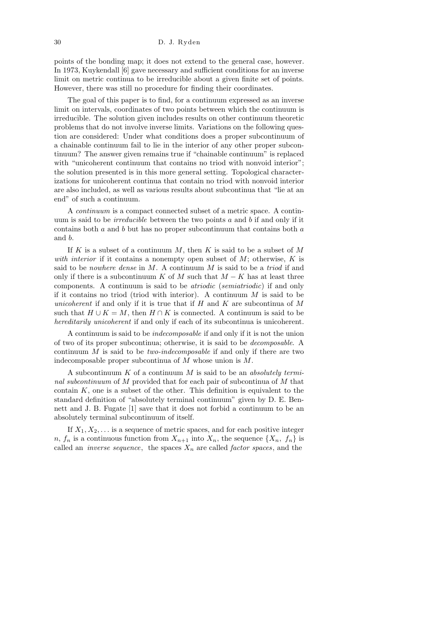points of the bonding map; it does not extend to the general case, however. In 1973, Kuykendall [6] gave necessary and sufficient conditions for an inverse limit on metric continua to be irreducible about a given finite set of points. However, there was still no procedure for finding their coordinates.

The goal of this paper is to find, for a continuum expressed as an inverse limit on intervals, coordinates of two points between which the continuum is irreducible. The solution given includes results on other continuum theoretic problems that do not involve inverse limits. Variations on the following question are considered: Under what conditions does a proper subcontinuum of a chainable continuum fail to lie in the interior of any other proper subcontinuum? The answer given remains true if "chainable continuum" is replaced with "unicoherent continuum that contains no triod with nonvoid interior"; the solution presented is in this more general setting. Topological characterizations for unicoherent continua that contain no triod with nonvoid interior are also included, as well as various results about subcontinua that "lie at an end" of such a continuum.

A continuum is a compact connected subset of a metric space. A continuum is said to be *irreducible* between the two points  $a$  and  $b$  if and only if it contains both a and b but has no proper subcontinuum that contains both a and b.

If K is a subset of a continuum M, then K is said to be a subset of  $M$ with interior if it contains a nonempty open subset of  $M$ ; otherwise,  $K$  is said to be *nowhere dense* in M. A continuum M is said to be a *triod* if and only if there is a subcontinuum K of M such that  $M - K$  has at least three components. A continuum is said to be atriodic (semiatriodic) if and only if it contains no triod (triod with interior). A continuum  $M$  is said to be unicoherent if and only if it is true that if  $H$  and  $K$  are subcontinua of  $M$ such that  $H \cup K = M$ , then  $H \cap K$  is connected. A continuum is said to be hereditarily unicoherent if and only if each of its subcontinua is unicoherent.

A continuum is said to be indecomposable if and only if it is not the union of two of its proper subcontinua; otherwise, it is said to be decomposable. A continuum M is said to be *two-indecomposable* if and only if there are two indecomposable proper subcontinua of M whose union is M.

A subcontinuum  $K$  of a continuum  $M$  is said to be an absolutely terminal subcontinuum of M provided that for each pair of subcontinua of M that contain  $K$ , one is a subset of the other. This definition is equivalent to the standard definition of "absolutely terminal continuum" given by D. E. Bennett and J. B. Fugate [1] save that it does not forbid a continuum to be an absolutely terminal subcontinuum of itself.

If  $X_1, X_2, \ldots$  is a sequence of metric spaces, and for each positive integer n,  $f_n$  is a continuous function from  $X_{n+1}$  into  $X_n$ , the sequence  $\{X_n, f_n\}$  is called an *inverse sequence*, the spaces  $X_n$  are called *factor spaces*, and the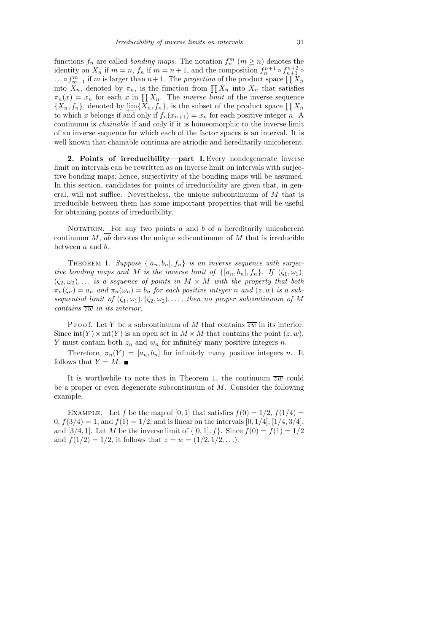functions  $f_n$  are called *bonding maps*. The notation  $f_n^m$   $(m \ge n)$  denotes the identity on  $X_n$  if  $m = n$ ,  $f_n$  if  $m = n + 1$ , and the composition  $f_n^{n+1} \circ f_{n+1}^{n+2} \circ f_n^{n+2}$ ...○ $f_{m-1}^{m}$  if m is larger than  $n+1$ . The projection of the product space  $\prod_{i=1}^{n+1} X_{n}$ into  $X_n$ , denoted by  $\pi_n$ , is the function from  $\prod X_n$  into  $X_n$  that satisfies  $\pi_n(x) = x_n$  for each x in  $\prod X_n$ . The *inverse limit* of the inverse sequence  $\{X_n, f_n\}$ , denoted by  $\varprojlim \{X_n, f_n\}$ , is the subset of the product space  $\prod X_n$ to which x belongs if and only if  $f_n(x_{n+1}) = x_n$  for each positive integer n. A continuum is chainable if and only if it is homeomorphic to the inverse limit of an inverse sequence for which each of the factor spaces is an interval. It is well known that chainable continua are atriodic and hereditarily unicoherent.

2. Points of irreducibility—part I.Every nondegenerate inverse limit on intervals can be rewritten as an inverse limit on intervals with surjective bonding maps; hence, surjectivity of the bonding maps will be assumed. In this section, candidates for points of irreducibility are given that, in general, will not suffice. Nevertheless, the unique subcontinuum of M that is irreducible between them has some important properties that will be useful for obtaining points of irreducibility.

NOTATION. For any two points  $a$  and  $b$  of a hereditarily unicoherent continuum  $M$ ,  $\overline{ab}$  denotes the unique subcontinuum of M that is irreducible between a and b.

THEOREM 1. Suppose  $\{[a_n, b_n], f_n\}$  is an inverse sequence with surjective bonding maps and M is the inverse limit of  $\{[a_n, b_n], f_n\}$ . If  $(\zeta_1, \omega_1)$ ,  $(\zeta_2,\omega_2),\ldots$  is a sequence of points in  $M\times M$  with the property that both  $\pi_n(\zeta_n) = a_n$  and  $\pi_n(\omega_n) = b_n$  for each positive integer n and  $(z, w)$  is a subsequential limit of  $(\zeta_1,\omega_1),(\zeta_2,\omega_2),\ldots$ , then no proper subcontinuum of M  $contains\ \overline{zw}$  in its interior.

P r o o f. Let Y be a subcontinuum of M that contains  $\overline{zw}$  in its interior. Since  $\text{int}(Y) \times \text{int}(Y)$  is an open set in  $M \times M$  that contains the point  $(z, w)$ , Y must contain both  $z_n$  and  $w_n$  for infinitely many positive integers n.

Therefore,  $\pi_n(Y) = [a_n, b_n]$  for infinitely many positive integers n. It follows that  $Y = M$ .

It is worthwhile to note that in Theorem 1, the continuum  $\overline{zw}$  could be a proper or even degenerate subcontinuum of  $M$ . Consider the following example.

EXAMPLE. Let f be the map of [0, 1] that satisfies  $f(0) = 1/2$ ,  $f(1/4) =$  $0, f(3/4) = 1$ , and  $f(1) = 1/2$ , and is linear on the intervals  $[0, 1/4]$ ,  $[1/4, 3/4]$ , and [3/4, 1]. Let M be the inverse limit of  $\{[0, 1], f\}$ . Since  $f(0) = f(1) = 1/2$ and  $f(1/2) = 1/2$ , it follows that  $z = w = (1/2, 1/2, \ldots)$ .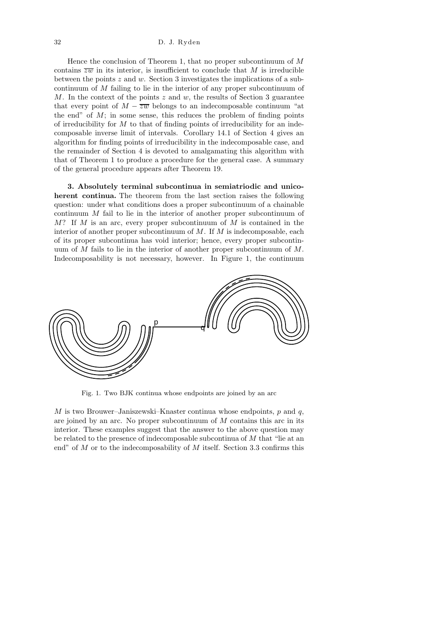Hence the conclusion of Theorem 1, that no proper subcontinuum of  $M$ contains  $\overline{zw}$  in its interior, is insufficient to conclude that M is irreducible between the points  $z$  and  $w$ . Section 3 investigates the implications of a subcontinuum of M failing to lie in the interior of any proper subcontinuum of M. In the context of the points  $z$  and  $w$ , the results of Section 3 guarantee that every point of  $M - \overline{zw}$  belongs to an indecomposable continuum "at the end" of  $M$ ; in some sense, this reduces the problem of finding points of irreducibility for  $M$  to that of finding points of irreducibility for an indecomposable inverse limit of intervals. Corollary 14.1 of Section 4 gives an algorithm for finding points of irreducibility in the indecomposable case, and the remainder of Section 4 is devoted to amalgamating this algorithm with that of Theorem 1 to produce a procedure for the general case. A summary of the general procedure appears after Theorem 19.

3. Absolutely terminal subcontinua in semiatriodic and unicoherent continua. The theorem from the last section raises the following question: under what conditions does a proper subcontinuum of a chainable continuum M fail to lie in the interior of another proper subcontinuum of  $M$ ? If M is an arc, every proper subcontinuum of M is contained in the interior of another proper subcontinuum of  $M$ . If  $M$  is indecomposable, each of its proper subcontinua has void interior; hence, every proper subcontinuum of  $M$  fails to lie in the interior of another proper subcontinuum of  $M$ . Indecomposability is not necessary, however. In Figure 1, the continuum



Fig. 1. Two BJK continua whose endpoints are joined by an arc

M is two Brouwer–Janiszewski–Knaster continua whose endpoints,  $p$  and  $q$ , are joined by an arc. No proper subcontinuum of M contains this arc in its interior. These examples suggest that the answer to the above question may be related to the presence of indecomposable subcontinua of M that "lie at an end" of  $M$  or to the indecomposability of  $M$  itself. Section 3.3 confirms this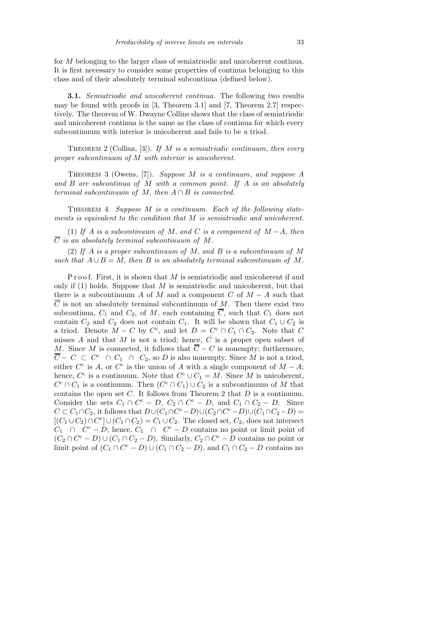for M belonging to the larger class of semiatriodic and unicoherent continua. It is first necessary to consider some properties of continua belonging to this class and of their absolutely terminal subcontinua (defined below).

**3.1.** Semiatriodic and unicoherent continua. The following two results may be found with proofs in [3, Theorem 3.1] and [7, Theorem 2.7] respectively. The theorem of W. Dwayne Collins shows that the class of semiatriodic and unicoherent continua is the same as the class of continua for which every subcontinuum with interior is unicoherent and fails to be a triod.

THEOREM 2 (Collins, [3]). If M is a semiatriodic continuum, then every proper subcontinuum of M with interior is unicoherent.

THEOREM 3 (Owens, [7]). Suppose M is a continuum, and suppose A and  $B$  are subcontinua of  $M$  with a common point. If  $A$  is an absolutely terminal subcontinuum of M, then  $A \cap B$  is connected.

THEOREM 4. Suppose  $M$  is a continuum. Each of the following statements is equivalent to the condition that M is semiatriodic and unicoherent.

(1) If A is a subcontinuum of M, and C is a component of  $M - A$ , then  $\overline{C}$  is an absolutely terminal subcontinuum of M.

(2) If A is a proper subcontinuum of M, and B is a subcontinuum of M such that  $A \cup B = M$ , then B is an absolutely terminal subcontinuum of M.

P r o o f. First, it is shown that  $M$  is semiatrical and unicoherent if and only if  $(1)$  holds. Suppose that M is semiatricodic and unicoherent, but that there is a subcontinuum A of M and a component C of  $M - A$  such that  $\overline{C}$  is not an absolutely terminal subcontinuum of M. Then there exist two subcontinua,  $C_1$  and  $C_2$ , of M, each containing  $\overline{C}$ , such that  $C_1$  does not contain  $C_2$  and  $C_2$  does not contain  $C_1$ . It will be shown that  $C_1 \cup C_2$  is a triod. Denote  $M - C$  by  $C^c$ , and let  $D = C^c \cap C_1 \cap C_2$ . Note that C misses  $A$  and that  $M$  is not a triod; hence,  $C$  is a proper open subset of M. Since M is connected, it follows that  $\overline{C} - C$  is nonempty; furthermore,  $\overline{C}$  −  $C \subset C^c \cap C_1 \cap C_2$ , so D is also nonempty. Since M is not a triod, either  $C^c$  is A, or  $C^c$  is the union of A with a single component of  $M - A$ ; hence,  $C^c$  is a continuum. Note that  $C^c \cup C_1 = M$ . Since M is unicoherent,  $C^{c} \cap C_{1}$  is a continuum. Then  $(C^{c} \cap C_{1}) \cup C_{2}$  is a subcontinuum of M that contains the open set  $C$ . It follows from Theorem 2 that  $D$  is a continuum. Consider the sets  $C_1 \cap C^c - D$ ,  $C_2 \cap C^c - D$ , and  $C_1 \cap C_2 - D$ . Since  $C \subset C_1 \cap C_2$ , it follows that  $D \cup (C_1 \cap C^c - D) \cup (C_2 \cap C^c - D) \cup (C_1 \cap C_2 - D) =$  $[(C_1 \cup C_2) \cap C^c] \cup (C_1 \cap C_2) = C_1 \cup C_2$ . The closed set,  $C_2$ , does not intersect  $C_1 \cap C^c - D$ ; hence,  $C_1 \cap C^c - D$  contains no point or limit point of  $(C_2 \cap C^c - D) \cup (C_1 \cap C_2 - D)$ . Similarly,  $C_2 \cap C^c - D$  contains no point or limit point of  $(C_1 \cap C^c - D) \cup (C_1 \cap C_2 - D)$ , and  $C_1 \cap C_2 - D$  contains no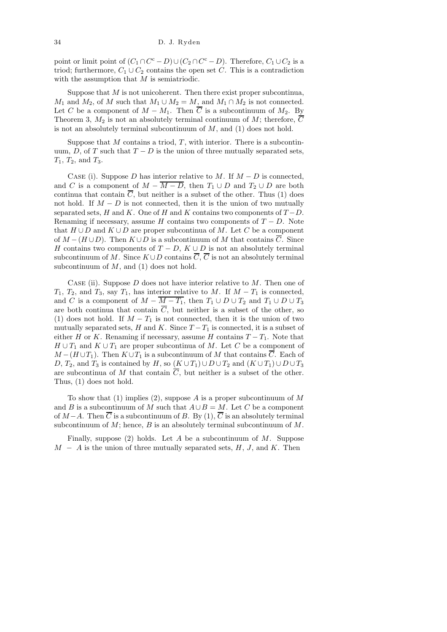point or limit point of  $(C_1 \cap C^c - D) \cup (C_2 \cap C^c - D)$ . Therefore,  $C_1 \cup C_2$  is a triod; furthermore,  $C_1 \cup C_2$  contains the open set C. This is a contradiction with the assumption that  $M$  is semiatriodic.

Suppose that  $M$  is not unicoherent. Then there exist proper subcontinua,  $M_1$  and  $M_2$ , of M such that  $M_1 \cup M_2 = M$ , and  $M_1 \cap M_2$  is not connected. Let C be a component of  $M - M_1$ . Then  $\overline{C}$  is a subcontinuum of  $M_2$ . By Theorem 3,  $M_2$  is not an absolutely terminal continuum of M; therefore,  $\overline{C}$ is not an absolutely terminal subcontinuum of  $M$ , and  $(1)$  does not hold.

Suppose that  $M$  contains a triod,  $T$ , with interior. There is a subcontinuum, D, of T such that  $T - D$  is the union of three mutually separated sets,  $T_1$ ,  $T_2$ , and  $T_3$ .

CASE (i). Suppose D has interior relative to M. If  $M - D$  is connected, and C is a component of  $M - \overline{M - D}$ , then  $T_1 \cup D$  and  $T_2 \cup D$  are both continua that contain  $\overline{C}$ , but neither is a subset of the other. Thus (1) does not hold. If  $M - D$  is not connected, then it is the union of two mutually separated sets, H and K. One of H and K contains two components of  $T - D$ . Renaming if necessary, assume H contains two components of  $T - D$ . Note that  $H \cup D$  and  $K \cup D$  are proper subcontinua of M. Let C be a component of  $M - (H \cup D)$ . Then  $K \cup D$  is a subcontinuum of M that contains  $\overline{C}$ . Since H contains two components of  $T - D$ ,  $K \cup D$  is not an absolutely terminal subcontinuum of M. Since  $K \cup D$  contains  $\overline{C}$ ,  $\overline{C}$  is not an absolutely terminal subcontinuum of  $M$ , and (1) does not hold.

CASE (ii). Suppose  $D$  does not have interior relative to  $M$ . Then one of  $T_1, T_2,$  and  $T_3$ , say  $T_1$ , has interior relative to M. If  $M - T_1$  is connected, and C is a component of  $M - \overline{M-T_1}$ , then  $T_1 \cup D \cup T_2$  and  $T_1 \cup D \cup T_3$ are both continua that contain  $\overline{C}$ , but neither is a subset of the other, so (1) does not hold. If  $M - T_1$  is not connected, then it is the union of two mutually separated sets, H and K. Since  $T - T_1$  is connected, it is a subset of either H or K. Renaming if necessary, assume H contains  $T - T_1$ . Note that  $H \cup T_1$  and  $K \cup T_1$  are proper subcontinua of M. Let C be a component of  $M - (H \cup T_1)$ . Then  $K \cup T_1$  is a subcontinuum of M that contains C. Each of D,  $T_2$ , and  $T_3$  is contained by H, so  $(K \cup T_1) \cup D \cup T_2$  and  $(K \cup T_1) \cup D \cup T_3$ are subcontinua of M that contain  $\overline{C}$ , but neither is a subset of the other. Thus, (1) does not hold.

To show that  $(1)$  implies  $(2)$ , suppose A is a proper subcontinuum of M and B is a subcontinuum of M such that  $A \cup B = M$ . Let C be a component of  $M-A$ . Then  $\overline{C}$  is a subcontinuum of B. By (1),  $\overline{C}$  is an absolutely terminal subcontinuum of  $M$ ; hence,  $B$  is an absolutely terminal subcontinuum of  $M$ .

Finally, suppose  $(2)$  holds. Let A be a subcontinuum of M. Suppose  $M - A$  is the union of three mutually separated sets,  $H, J$ , and  $K$ . Then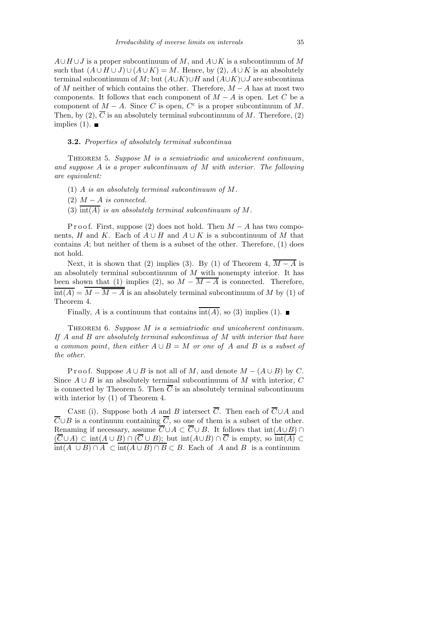$A \cup H \cup J$  is a proper subcontinuum of M, and  $A \cup K$  is a subcontinuum of M such that  $(A \cup H \cup J) \cup (A \cup K) = M$ . Hence, by (2),  $A \cup K$  is an absolutely terminal subcontinuum of M; but  $(A\cup K)\cup H$  and  $(A\cup K)\cup J$  are subcontinua of M neither of which contains the other. Therefore,  $M - A$  has at most two components. It follows that each component of  $M - A$  is open. Let C be a component of  $M - A$ . Since C is open,  $C<sup>c</sup>$  is a proper subcontinuum of M. Then, by (2),  $\overline{C}$  is an absolutely terminal subcontinuum of M. Therefore, (2) implies  $(1)$ .

## 3.2. Properties of absolutely terminal subcontinua

THEOREM 5. Suppose M is a semiatriodic and unicoherent continuum, and suppose A is a proper subcontinuum of M with interior. The following are equivalent:

- (1) A is an absolutely terminal subcontinuum of M.
- (2)  $M A$  is connected.
- (3)  $\overline{\text{int}(A)}$  is an absolutely terminal subcontinuum of M.

P r o o f. First, suppose (2) does not hold. Then  $M - A$  has two components, H and K. Each of  $A \cup H$  and  $A \cup K$  is a subcontinuum of M that contains A; but neither of them is a subset of the other. Therefore, (1) does not hold.

Next, it is shown that (2) implies (3). By (1) of Theorem 4,  $\overline{M-A}$  is an absolutely terminal subcontinuum of  $M$  with nonempty interior. It has been shown that (1) implies (2), so  $M - \overline{M - A}$  is connected. Therefore,  $\overline{\text{int}(A)} = \overline{M - \overline{M - A}}$  is an absolutely terminal subcontinuum of M by (1) of Theorem 4.

Finally, A is a continuum that contains  $\overline{\text{int}(A)}$ , so (3) implies (1).

THEOREM 6. Suppose M is a semiatriodic and unicoherent continuum. If A and B are absolutely terminal subcontinua of M with interior that have a common point, then either  $A \cup B = M$  or one of A and B is a subset of the other.

P r o o f. Suppose  $A \cup B$  is not all of M, and denote  $M - (A \cup B)$  by C. Since  $A \cup B$  is an absolutely terminal subcontinuum of M with interior, C is connected by Theorem 5. Then  $\overline{C}$  is an absolutely terminal subcontinuum with interior by (1) of Theorem 4.

CASE (i). Suppose both A and B intersect  $\overline{C}$ . Then each of  $\overline{C} \cup A$  and  $\overline{C} \cup B$  is a continuum containing  $\overline{C}$ , so one of them is a subset of the other. Renaming if necessary, assume  $\overline{C} \cup A \subset \overline{C} \cup B$ . It follows that  $\text{int}(A \cup B) \cap$  $(\overline{C} \cup A) \subset \text{int}(A \cup B) \cap (\overline{C} \cup B);$  but  $\text{int}(A \cup B) \cap \overline{C}$  is empty, so  $\overline{\text{int}(A)} \subset$  $\overline{\text{int}(A \cup B) \cap A} \subset \overline{\text{int}(A \cup B) \cap B} \subset B$ . Each of A and B is a continuum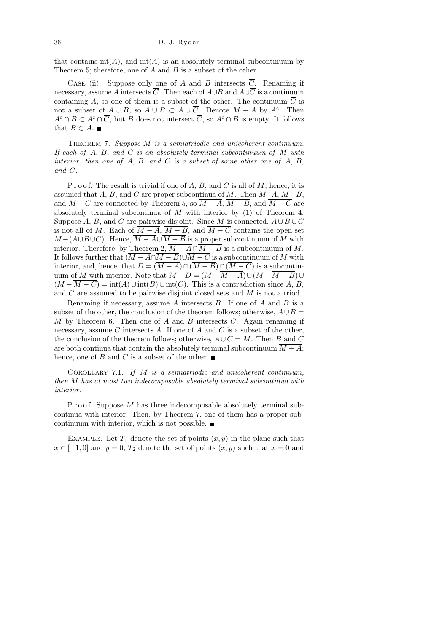that contains  $\overline{\text{int}(A)}$ , and  $\overline{\text{int}(A)}$  is an absolutely terminal subcontinuum by Theorem 5; therefore, one of  $A$  and  $B$  is a subset of the other.

CASE (ii). Suppose only one of A and B intersects  $\overline{C}$ . Renaming if necessary, assume A intersects  $\overline{C}$ . Then each of  $A\cup B$  and  $A\cup\overline{C}$  is a continuum containing A, so one of them is a subset of the other. The continuum  $\overline{C}$  is not a subset of  $A \cup B$ , so  $A \cup B \subset A \cup \overline{C}$ . Denote  $M - A$  by  $A<sup>c</sup>$ . Then  $A^c \cap B \subset A^c \cap \overline{C}$ , but B does not intersect  $\overline{C}$ , so  $A^c \cap B$  is empty. It follows that  $B \subset A$ .

THEOREM 7. Suppose M is a semiatriodic and unicoherent continuum. If each of  $A$ ,  $B$ , and  $C$  is an absolutely terminal subcontinuum of  $M$  with interior, then one of A, B, and C is a subset of some other one of A, B, and C.

P r o o f. The result is trivial if one of  $A, B$ , and  $C$  is all of  $M$ ; hence, it is assumed that A, B, and C are proper subcontinua of M. Then  $M-A$ ,  $M-B$ , and  $M - C$  are connected by Theorem 5, so  $\overline{M - A}$ ,  $\overline{M - B}$ , and  $\overline{M - C}$  are absolutely terminal subcontinua of  $M$  with interior by (1) of Theorem 4. Suppose A, B, and C are pairwise disjoint. Since M is connected,  $A \cup B \cup C$ is not all of M. Each of  $\overline{M-A}$ ,  $\overline{M-B}$ , and  $\overline{M-C}$  contains the open set  $M-(A\cup B\cup C)$ . Hence,  $\overline{M-A}\cup \overline{M-B}$  is a proper subcontinuum of M with interior. Therefore, by Theorem 2,  $\overline{M - A} \cap \overline{M - B}$  is a subcontinuum of M. It follows further that  $(\overline{M - A} \cap \overline{M - B}) \cup \overline{M - C}$  is a subcontinuum of M with interior, and, hence, that  $D = (\overline{M - A}) \cap (\overline{M - B}) \cap (\overline{M - C})$  is a subcontinuum of M with interior. Note that  $M - D = (M - \overline{M - A}) \cup (M - \overline{M - B}) \cup$  $(M - \overline{M - C}) = \text{int}(A) \cup \text{int}(B) \cup \text{int}(C)$ . This is a contradiction since A, B, and C are assumed to be pairwise disjoint closed sets and M is not a triod.

Renaming if necessary, assume A intersects  $B$ . If one of A and B is a subset of the other, the conclusion of the theorem follows; otherwise,  $A \cup B =$  $M$  by Theorem 6. Then one of  $A$  and  $B$  intersects  $C$ . Again renaming if necessary, assume C intersects A. If one of A and C is a subset of the other, the conclusion of the theorem follows; otherwise,  $A\cup C = M$ . Then B and C are both continua that contain the absolutely terminal subcontinuum  $\overline{M - A}$ ; hence, one of B and C is a subset of the other.  $\blacksquare$ 

COROLLARY 7.1. If  $M$  is a semiatriodic and unicoherent continuum, then M has at most two indecomposable absolutely terminal subcontinua with interior.

P r o o f. Suppose  $M$  has three indecomposable absolutely terminal subcontinua with interior. Then, by Theorem 7, one of them has a proper subcontinuum with interior, which is not possible.

EXAMPLE. Let  $T_1$  denote the set of points  $(x, y)$  in the plane such that  $x \in [-1,0]$  and  $y = 0$ ,  $T_2$  denote the set of points  $(x, y)$  such that  $x = 0$  and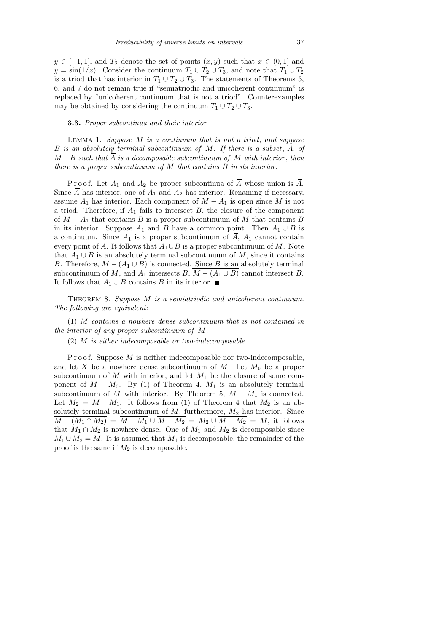#### 3.3. Proper subcontinua and their interior

Lemma 1. Suppose M is a continuum that is not a triod, and suppose B is an absolutely terminal subcontinuum of M. If there is a subset, A, of  $M - B$  such that  $\overline{A}$  is a decomposable subcontinuum of M with interior, then there is a proper subcontinuum of M that contains B in its interior.

P r o o f. Let  $A_1$  and  $A_2$  be proper subcontinua of  $\overline{A}$  whose union is  $\overline{A}$ . Since  $\overline{A}$  has interior, one of  $A_1$  and  $A_2$  has interior. Renaming if necessary, assume  $A_1$  has interior. Each component of  $M - A_1$  is open since M is not a triod. Therefore, if  $A_1$  fails to intersect  $B$ , the closure of the component of  $M - A_1$  that contains B is a proper subcontinuum of M that contains B in its interior. Suppose  $A_1$  and B have a common point. Then  $A_1 \cup B$  is a continuum. Since  $A_1$  is a proper subcontinuum of  $\overline{A}$ ,  $A_1$  cannot contain every point of A. It follows that  $A_1 \cup B$  is a proper subcontinuum of M. Note that  $A_1 \cup B$  is an absolutely terminal subcontinuum of M, since it contains B. Therefore,  $M - (A_1 \cup B)$  is connected. Since B is an absolutely terminal subcontinuum of M, and  $A_1$  intersects B,  $\overline{M - (A_1 \cup B)}$  cannot intersect B. It follows that  $A_1 \cup B$  contains B in its interior. ■

THEOREM 8. Suppose M is a semiatriodic and unicoherent continuum. The following are equivalent:

(1) M contains a nowhere dense subcontinuum that is not contained in the interior of any proper subcontinuum of M.

(2) M is either indecomposable or two-indecomposable.

P r o o f. Suppose  $M$  is neither indecomposable nor two-indecomposable, and let X be a nowhere dense subcontinuum of M. Let  $M_0$  be a proper subcontinuum of  $M$  with interior, and let  $M_1$  be the closure of some component of  $M - M_0$ . By (1) of Theorem 4,  $M_1$  is an absolutely terminal subcontinuum of M with interior. By Theorem 5,  $M - M_1$  is connected. Let  $M_2 = \overline{M - M_1}$ . It follows from (1) of Theorem 4 that  $M_2$  is an absolutely terminal subcontinuum of  $M$ ; furthermore,  $M_2$  has interior. Since  $\overline{M - (M_1 \cap M_2)} = \overline{M - M_1} \cup \overline{M - M_2} = M_2 \cup \overline{M - M_2} = M$ , it follows that  $M_1 \cap M_2$  is nowhere dense. One of  $M_1$  and  $M_2$  is decomposable since  $M_1 \cup M_2 = M$ . It is assumed that  $M_1$  is decomposable, the remainder of the proof is the same if  $M_2$  is decomposable.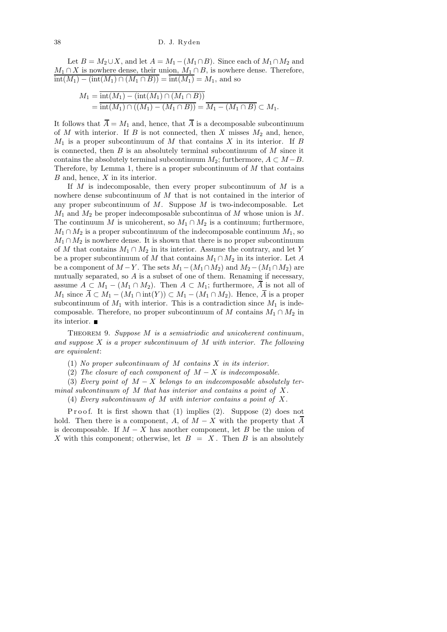Let  $B = M_2 \cup X$ , and let  $A = M_1 - (M_1 \cap B)$ . Since each of  $M_1 \cap M_2$  and  $M_1 \cap X$  is nowhere dense, their union,  $M_1 \cap B$ , is nowhere dense. Therefore,  $\overline{\text{int}(M_1) - (\text{int}(M_1) \cap (M_1 \cap B))} = \overline{\text{int}(M_1)} = M_1$ , and so

$$
M_1 = \frac{\text{int}(M_1) - (\text{int}(M_1) \cap (M_1 \cap B))}{\text{int}(M_1) \cap ((M_1) - (M_1 \cap B))} = \overline{M_1 - (M_1 \cap B)} \subset M_1.
$$

It follows that  $\overline{A} = M_1$  and, hence, that  $\overline{A}$  is a decomposable subcontinuum of  $M$  with interior. If  $B$  is not connected, then  $X$  misses  $M_2$  and, hence,  $M_1$  is a proper subcontinuum of M that contains X in its interior. If B is connected, then  $B$  is an absolutely terminal subcontinuum of  $M$  since it contains the absolutely terminal subcontinuum  $M_2$ ; furthermore,  $A \subset M-B$ . Therefore, by Lemma 1, there is a proper subcontinuum of  $M$  that contains B and, hence, X in its interior.

If  $M$  is indecomposable, then every proper subcontinuum of  $M$  is a nowhere dense subcontinuum of M that is not contained in the interior of any proper subcontinuum of  $M$ . Suppose  $M$  is two-indecomposable. Let  $M_1$  and  $M_2$  be proper indecomposable subcontinua of M whose union is M. The continuum M is unicoherent, so  $M_1 \cap M_2$  is a continuum; furthermore,  $M_1 \cap M_2$  is a proper subcontinuum of the indecomposable continuum  $M_1$ , so  $M_1 \cap M_2$  is nowhere dense. It is shown that there is no proper subcontinuum of M that contains  $M_1 \cap M_2$  in its interior. Assume the contrary, and let Y be a proper subcontinuum of M that contains  $M_1 \cap M_2$  in its interior. Let A be a component of  $M - Y$ . The sets  $M_1 - (M_1 \cap M_2)$  and  $M_2 - (M_1 \cap M_2)$  are mutually separated, so A is a subset of one of them. Renaming if necessary, assume  $A \subset M_1 - (M_1 \cap M_2)$ . Then  $A \subset M_1$ ; furthermore, A is not all of  $M_1$  since  $A \subset M_1 - (M_1 \cap int(Y)) \subset M_1 - (M_1 \cap M_2)$ . Hence, A is a proper subcontinuum of  $M_1$  with interior. This is a contradiction since  $M_1$  is indecomposable. Therefore, no proper subcontinuum of M contains  $M_1 \cap M_2$  in its interior.

THEOREM 9. Suppose M is a semiatriodic and unicoherent continuum, and suppose  $X$  is a proper subcontinuum of  $M$  with interior. The following are equivalent:

- (1) No proper subcontinuum of M contains X in its interior.
- (2) The closure of each component of  $M X$  is indecomposable.

(3) Every point of  $M - X$  belongs to an indecomposable absolutely terminal subcontinuum of  $M$  that has interior and contains a point of  $X$ .

(4) Every subcontinuum of M with interior contains a point of X.

Proof. It is first shown that  $(1)$  implies  $(2)$ . Suppose  $(2)$  does not hold. Then there is a component, A, of  $M - X$  with the property that A is decomposable. If  $M - X$  has another component, let B be the union of X with this component; otherwise, let  $B = X$ . Then B is an absolutely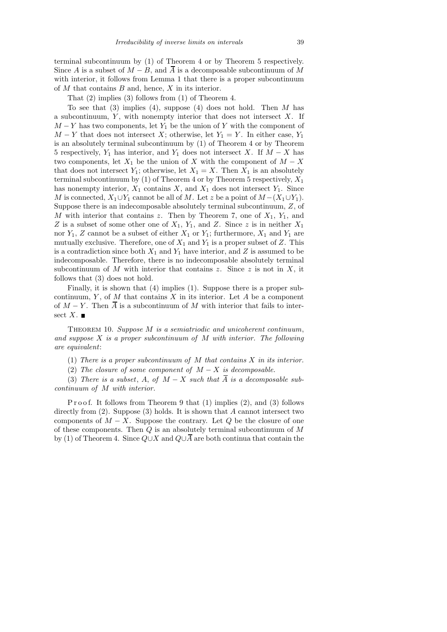That (2) implies (3) follows from (1) of Theorem 4.

To see that  $(3)$  implies  $(4)$ , suppose  $(4)$  does not hold. Then M has a subcontinuum,  $Y$ , with nonempty interior that does not intersect  $X$ . If  $M - Y$  has two components, let  $Y_1$  be the union of Y with the component of  $M - Y$  that does not intersect X; otherwise, let  $Y_1 = Y$ . In either case,  $Y_1$ is an absolutely terminal subcontinuum by (1) of Theorem 4 or by Theorem 5 respectively,  $Y_1$  has interior, and  $Y_1$  does not intersect X. If  $M - X$  has two components, let  $X_1$  be the union of X with the component of  $M - X$ that does not intersect  $Y_1$ ; otherwise, let  $X_1 = X$ . Then  $X_1$  is an absolutely terminal subcontinuum by (1) of Theorem 4 or by Theorem 5 respectively,  $X_1$ has nonempty interior,  $X_1$  contains  $X$ , and  $X_1$  does not intersect  $Y_1$ . Since M is connected,  $X_1 \cup Y_1$  cannot be all of M. Let z be a point of  $M - (X_1 \cup Y_1)$ . Suppose there is an indecomposable absolutely terminal subcontinuum, Z, of M with interior that contains z. Then by Theorem 7, one of  $X_1$ ,  $Y_1$ , and Z is a subset of some other one of  $X_1$ ,  $Y_1$ , and Z. Since z is in neither  $X_1$ nor  $Y_1$ , Z cannot be a subset of either  $X_1$  or  $Y_1$ ; furthermore,  $X_1$  and  $Y_1$  are mutually exclusive. Therefore, one of  $X_1$  and  $Y_1$  is a proper subset of Z. This is a contradiction since both  $X_1$  and  $Y_1$  have interior, and Z is assumed to be indecomposable. Therefore, there is no indecomposable absolutely terminal subcontinuum of M with interior that contains z. Since z is not in X, it follows that (3) does not hold.

Finally, it is shown that (4) implies (1). Suppose there is a proper subcontinuum, Y, of M that contains X in its interior. Let A be a component of  $M - Y$ . Then  $\overline{A}$  is a subcontinuum of M with interior that fails to intersect  $X$ .

THEOREM 10. Suppose  $M$  is a semiatriodic and unicoherent continuum, and suppose  $X$  is a proper subcontinuum of  $M$  with interior. The following are equivalent:

(1) There is a proper subcontinuum of  $M$  that contains  $X$  in its interior.

(2) The closure of some component of  $M - X$  is decomposable.

(3) There is a subset, A, of  $M - X$  such that  $\overline{A}$  is a decomposable subcontinuum of M with interior.

Proof. It follows from Theorem 9 that  $(1)$  implies  $(2)$ , and  $(3)$  follows directly from  $(2)$ . Suppose  $(3)$  holds. It is shown that A cannot intersect two components of  $M - X$ . Suppose the contrary. Let Q be the closure of one of these components. Then  $Q$  is an absolutely terminal subcontinuum of  $M$ by (1) of Theorem 4. Since  $Q\cup X$  and  $Q\cup \overline{A}$  are both continua that contain the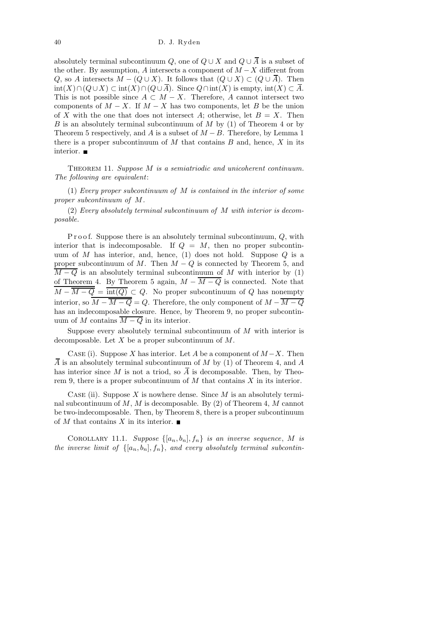absolutely terminal subcontinuum Q, one of  $Q \cup X$  and  $Q \cup \overline{A}$  is a subset of the other. By assumption, A intersects a component of  $M - X$  different from Q, so A intersects  $M - (Q \cup X)$ . It follows that  $(Q \cup X) \subset (Q \cup \overline{A})$ . Then  $\text{int}(X)\cap (Q\cup X)\subset \text{int}(X)\cap (Q\cup \overline{A})$ . Since  $Q\cap \text{int}(X)$  is empty,  $\text{int}(X)\subset \overline{A}$ . This is not possible since  $A \subset M - X$ . Therefore, A cannot intersect two components of  $M - X$ . If  $M - X$  has two components, let B be the union of X with the one that does not intersect A; otherwise, let  $B = X$ . Then B is an absolutely terminal subcontinuum of M by  $(1)$  of Theorem 4 or by Theorem 5 respectively, and A is a subset of  $M - B$ . Therefore, by Lemma 1 there is a proper subcontinuum of  $M$  that contains  $B$  and, hence,  $X$  in its interior.

THEOREM 11. Suppose M is a semiatriodic and unicoherent continuum. The following are equivalent:

(1) Every proper subcontinuum of  $M$  is contained in the interior of some proper subcontinuum of M.

(2) Every absolutely terminal subcontinuum of M with interior is decomposable.

Proof. Suppose there is an absolutely terminal subcontinuum, Q, with interior that is indecomposable. If  $Q = M$ , then no proper subcontinuum of M has interior, and, hence, (1) does not hold. Suppose  $Q$  is a proper subcontinuum of  $M$ . Then  $M - Q$  is connected by Theorem 5, and  $\overline{M-Q}$  is an absolutely terminal subcontinuum of M with interior by (1) of Theorem 4. By Theorem 5 again,  $M - \overline{M - Q}$  is connected. Note that  $\overline{M-\overline{M-Q}} = \overline{\text{int}(Q)} \subset Q$ . No proper subcontinuum of Q has nonempty interior, so  $\overline{M - \overline{M} - Q} = Q$ . Therefore, the only component of  $M - \overline{M - Q}$ has an indecomposable closure. Hence, by Theorem 9, no proper subcontinuum of M contains  $\overline{M-Q}$  in its interior.

Suppose every absolutely terminal subcontinuum of  $M$  with interior is decomposable. Let  $X$  be a proper subcontinuum of  $M$ .

CASE (i). Suppose X has interior. Let A be a component of  $M - X$ . Then  $\overline{A}$  is an absolutely terminal subcontinuum of M by (1) of Theorem 4, and A has interior since M is not a triod, so  $\overline{A}$  is decomposable. Then, by Theorem 9, there is a proper subcontinuum of  $M$  that contains  $X$  in its interior.

CASE (ii). Suppose X is nowhere dense. Since  $M$  is an absolutely terminal subcontinuum of  $M, M$  is decomposable. By (2) of Theorem 4, M cannot be two-indecomposable. Then, by Theorem 8, there is a proper subcontinuum of M that contains X in its interior.  $\blacksquare$ 

COROLLARY 11.1. Suppose  $\{[a_n, b_n], f_n\}$  is an inverse sequence, M is the inverse limit of  $\{[a_n, b_n], f_n\}$ , and every absolutely terminal subcontin-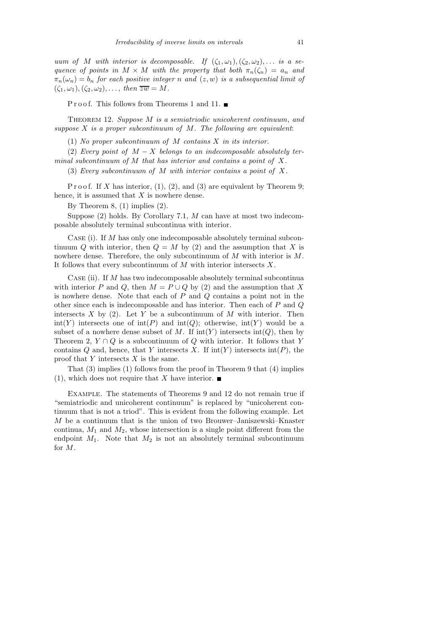uum of M with interior is decomposable. If  $(\zeta_1,\omega_1),(\zeta_2,\omega_2),\ldots$  is a sequence of points in  $M \times M$  with the property that both  $\pi_n(\zeta_n) = a_n$  and  $\pi_n(\omega_n) = b_n$  for each positive integer n and  $(z, w)$  is a subsequential limit of  $(\zeta_1,\omega_1),(\zeta_2,\omega_2),\ldots$ , then  $\overline{zw} = M$ .

P r o o f. This follows from Theorems 1 and 11.  $\blacksquare$ 

THEOREM 12. Suppose  $M$  is a semiatriodic unicoherent continuum, and suppose  $X$  is a proper subcontinuum of  $M$ . The following are equivalent:

(1) No proper subcontinuum of  $M$  contains  $X$  in its interior.

(2) Every point of  $M - X$  belongs to an indecomposable absolutely terminal subcontinuum of  $M$  that has interior and contains a point of  $X$ .

(3) Every subcontinuum of M with interior contains a point of X.

P r o o f. If X has interior,  $(1)$ ,  $(2)$ , and  $(3)$  are equivalent by Theorem 9; hence, it is assumed that  $X$  is nowhere dense.

By Theorem 8, (1) implies (2).

Suppose  $(2)$  holds. By Corollary 7.1, M can have at most two indecomposable absolutely terminal subcontinua with interior.

Case (i). If M has only one indecomposable absolutely terminal subcontinuum Q with interior, then  $Q = M$  by (2) and the assumption that X is nowhere dense. Therefore, the only subcontinuum of M with interior is M. It follows that every subcontinuum of  $M$  with interior intersects  $X$ .

CASE (ii). If  $M$  has two indecomposable absolutely terminal subcontinual with interior P and Q, then  $M = P \cup Q$  by (2) and the assumption that X is nowhere dense. Note that each of  $P$  and  $Q$  contains a point not in the other since each is indecomposable and has interior. Then each of  $P$  and  $Q$ intersects X by (2). Let Y be a subcontinuum of M with interior. Then int(Y) intersects one of  $\text{int}(P)$  and  $\text{int}(Q)$ ; otherwise,  $\text{int}(Y)$  would be a subset of a nowhere dense subset of M. If  $\text{int}(Y)$  intersects  $\text{int}(Q)$ , then by Theorem 2,  $Y \cap Q$  is a subcontinuum of Q with interior. It follows that Y contains Q and, hence, that Y intersects X. If  $\text{int}(Y)$  intersects  $\text{int}(P)$ , the proof that  $Y$  intersects  $X$  is the same.

That (3) implies (1) follows from the proof in Theorem 9 that (4) implies (1), which does not require that X have interior.  $\blacksquare$ 

Example. The statements of Theorems 9 and 12 do not remain true if "semiatriodic and unicoherent continuum" is replaced by "unicoherent continuum that is not a triod". This is evident from the following example. Let M be a continuum that is the union of two Brouwer–Janiszewski–Knaster continua,  $M_1$  and  $M_2$ , whose intersection is a single point different from the endpoint  $M_1$ . Note that  $M_2$  is not an absolutely terminal subcontinuum for M.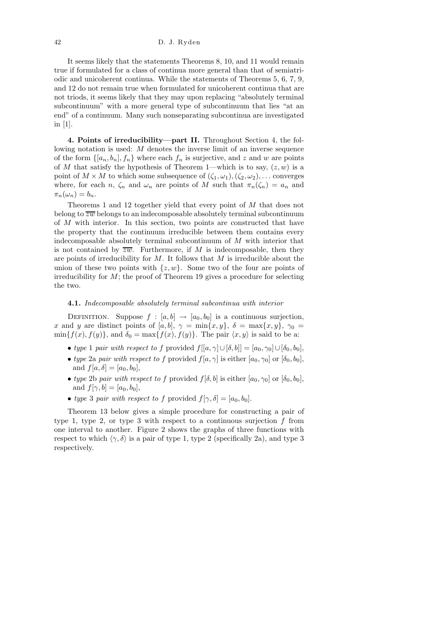It seems likely that the statements Theorems 8, 10, and 11 would remain true if formulated for a class of continua more general than that of semiatriodic and unicoherent continua. While the statements of Theorems 5, 6, 7, 9, and 12 do not remain true when formulated for unicoherent continua that are not triods, it seems likely that they may upon replacing "absolutely terminal subcontinuum" with a more general type of subcontinuum that lies "at an end" of a continuum. Many such nonseparating subcontinua are investigated in [1].

4. Points of irreducibility—part II. Throughout Section 4, the following notation is used: M denotes the inverse limit of an inverse sequence of the form  $\{[a_n, b_n], f_n\}$  where each  $f_n$  is surjective, and z and w are points of M that satisfy the hypothesis of Theorem 1—which is to say,  $(z, w)$  is a point of  $M \times M$  to which some subsequence of  $(\zeta_1, \omega_1), (\zeta_2, \omega_2), \ldots$  converges where, for each n,  $\zeta_n$  and  $\omega_n$  are points of M such that  $\pi_n(\zeta_n) = a_n$  and  $\pi_n(\omega_n) = b_n.$ 

Theorems 1 and 12 together yield that every point of M that does not belong to  $\overline{zw}$  belongs to an indecomposable absolutely terminal subcontinuum of M with interior. In this section, two points are constructed that have the property that the continuum irreducible between them contains every indecomposable absolutely terminal subcontinuum of  $M$  with interior that is not contained by  $\overline{zw}$ . Furthermore, if M is indecomposable, then they are points of irreducibility for  $M$ . It follows that  $M$  is irreducible about the union of these two points with  $\{z, w\}$ . Some two of the four are points of irreducibility for  $M$ ; the proof of Theorem 19 gives a procedure for selecting the two.

## 4.1. Indecomposable absolutely terminal subcontinua with interior

DEFINITION. Suppose  $f : [a, b] \rightarrow [a_0, b_0]$  is a continuous surjection, x and y are distinct points of [a, b],  $\gamma = \min\{x, y\}$ ,  $\delta = \max\{x, y\}$ ,  $\gamma_0 =$  $\min\{f(x), f(y)\}\text{, and }\delta_0 = \max\{f(x), f(y)\}\text{. The pair }\langle x, y\rangle \text{ is said to be a:}$ 

- type 1 pair with respect to f provided  $f[[a, \gamma] \cup [\delta, b]] = [a_0, \gamma_0] \cup [\delta_0, b_0],$
- type 2a pair with respect to f provided  $f[a, \gamma]$  is either  $[a_0, \gamma_0]$  or  $[\delta_0, b_0]$ , and  $f[a, \delta] = [a_0, b_0],$
- type 2b pair with respect to f provided  $f[\delta, b]$  is either  $[a_0, \gamma_0]$  or  $[\delta_0, b_0]$ , and  $f[\gamma, b] = [a_0, b_0],$
- type 3 pair with respect to f provided  $f[\gamma, \delta] = [a_0, b_0]$ .

Theorem 13 below gives a simple procedure for constructing a pair of type 1, type 2, or type 3 with respect to a continuous surjection  $f$  from one interval to another. Figure 2 shows the graphs of three functions with respect to which  $\langle \gamma, \delta \rangle$  is a pair of type 1, type 2 (specifically 2a), and type 3 respectively.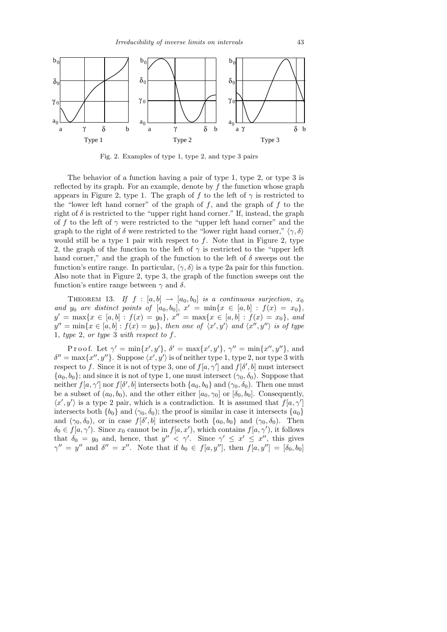

Fig. 2. Examples of type 1, type 2, and type 3 pairs

The behavior of a function having a pair of type 1, type 2, or type 3 is reflected by its graph. For an example, denote by  $f$  the function whose graph appears in Figure 2, type 1. The graph of f to the left of  $\gamma$  is restricted to the "lower left hand corner" of the graph of  $f$ , and the graph of  $f$  to the right of  $\delta$  is restricted to the "upper right hand corner." If, instead, the graph of f to the left of  $\gamma$  were restricted to the "upper left hand corner" and the graph to the right of  $\delta$  were restricted to the "lower right hand corner,"  $\langle \gamma, \delta \rangle$ would still be a type 1 pair with respect to  $f$ . Note that in Figure 2, type 2, the graph of the function to the left of  $\gamma$  is restricted to the "upper left" hand corner," and the graph of the function to the left of  $\delta$  sweeps out the function's entire range. In particular,  $\langle \gamma, \delta \rangle$  is a type 2a pair for this function. Also note that in Figure 2, type 3, the graph of the function sweeps out the function's entire range between  $\gamma$  and  $\delta$ .

THEOREM 13. If  $f : [a, b] \rightarrow [a_0, b_0]$  is a continuous surjection,  $x_0$ and  $y_0$  are distinct points of  $[a_0, b_0], x' = \min\{x \in [a, b] : f(x) = x_0\},\$  $y' = \max\{x \in [a, b] : f(x) = y_0\},\ x'' = \max\{x \in [a, b] : f(x) = x_0\},\ and$  $y'' = \min\{x \in [a, b] : f(x) = y_0\},\$  then one of  $\langle x', y' \rangle$  and  $\langle x'', y'' \rangle$  is of type 1, type 2, or type 3 with respect to f.

Proof. Let  $\gamma' = \min\{x', y'\}, \delta' = \max\{x', y'\}, \gamma'' = \min\{x'', y''\},\$ and  $\delta'' = \max\{x'', y''\}.$  Suppose  $\langle x', y' \rangle$  is of neither type 1, type 2, nor type 3 with respect to f. Since it is not of type 3, one of  $f[a, \gamma']$  and  $f[\delta', b]$  must intersect  ${a_0, b_0}$ ; and since it is not of type 1, one must intersect  $(\gamma_0, \delta_0)$ . Suppose that neither  $f[a, \gamma']$  nor  $f[\delta', b]$  intersects both  $\{a_0, b_0\}$  and  $(\gamma_0, \delta_0)$ . Then one must be a subset of  $(a_0, b_0)$ , and the other either  $[a_0, \gamma_0]$  or  $[\delta_0, b_0]$ . Consequently,  $\langle x', y' \rangle$  is a type 2 pair, which is a contradiction. It is assumed that  $f[a, \gamma']$ intersects both  $\{b_0\}$  and  $(\gamma_0, \delta_0)$ ; the proof is similar in case it intersects  $\{a_0\}$ and  $(\gamma_0, \delta_0)$ , or in case  $f[\delta', b]$  intersects both  $\{a_0, b_0\}$  and  $(\gamma_0, \delta_0)$ . Then  $\delta_0 \in f[a, \gamma']$ . Since  $x_0$  cannot be in  $f[a, x')$ , which contains  $f[a, \gamma')$ , it follows that  $\delta_0 = y_0$  and, hence, that  $y'' < \gamma'$ . Since  $\gamma' \leq x' \leq x''$ , this gives  $\gamma'' = y''$  and  $\delta'' = x''$ . Note that if  $b_0 \in f[a, y'']$ , then  $\overline{f[a, y'']} = [\delta_0, b_0]$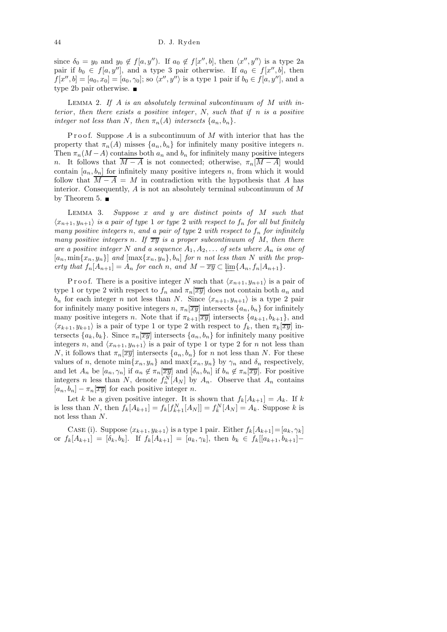since  $\delta_0 = y_0$  and  $y_0 \notin f[a, y'')$ . If  $a_0 \notin f[x'', b]$ , then  $\langle x'', y'' \rangle$  is a type 2a pair if  $b_0 \in f[a, y'']$ , and a type 3 pair otherwise. If  $a_0 \in f[x'', b]$ , then  $f[x'', b] = [a_0, x_0] = [a_0, \gamma_0];$  so  $\langle x'', y'' \rangle$  is a type 1 pair if  $b_0 \in f[a, y'']$ , and a type 2b pair otherwise.

LEMMA 2. If A is an absolutely terminal subcontinuum of  $M$  with interior, then there exists a positive integer,  $N$ , such that if  $n$  is a positive integer not less than N, then  $\pi_n(A)$  intersects  $\{a_n, b_n\}.$ 

Proof. Suppose  $A$  is a subcontinuum of  $M$  with interior that has the property that  $\pi_n(A)$  misses  $\{a_n, b_n\}$  for infinitely many positive integers n. Then  $\pi_n(M-A)$  contains both  $a_n$  and  $b_n$  for infinitely many positive integers n. It follows that  $\overline{M-A}$  is not connected; otherwise,  $\pi_n[\overline{M-A}]$  would contain  $[a_n, b_n]$  for infinitely many positive integers n, from which it would follow that  $\overline{M - A} = M$  in contradiction with the hypothesis that A has interior. Consequently,  $A$  is not an absolutely terminal subcontinuum of  $M$ by Theorem 5.  $\blacksquare$ 

LEMMA 3. Suppose  $x$  and  $y$  are distinct points of  $M$  such that  $\langle x_{n+1}, y_{n+1} \rangle$  is a pair of type 1 or type 2 with respect to  $f_n$  for all but finitely many positive integers n, and a pair of type 2 with respect to  $f_n$  for infinitely many positive integers n. If  $\overline{xy}$  is a proper subcontinuum of M, then there are a positive integer N and a sequence  $A_1, A_2, \ldots$  of sets where  $A_n$  is one of  $[a_n, \min\{x_n, y_n\}]$  and  $[\max\{x_n, y_n\}, b_n]$  for n not less than N with the property that  $f_n[A_{n+1}] = A_n$  for each n, and  $M - \overline{xy} \subset \underleftarrow{\lim}_{n} \{A_n, f_n | A_{n+1}\}.$ 

P r o o f. There is a positive integer N such that  $\langle x_{n+1}, y_{n+1} \rangle$  is a pair of type 1 or type 2 with respect to  $f_n$  and  $\pi_n[\overline{xy}]$  does not contain both  $a_n$  and  $b_n$  for each integer n not less than N. Since  $\langle x_{n+1}, y_{n+1} \rangle$  is a type 2 pair for infinitely many positive integers  $n, \pi_n[\overline{xy}]$  intersects  $\{a_n, b_n\}$  for infinitely many positive integers n. Note that if  $\pi_{k+1}[\overline{xy}]$  intersects  $\{a_{k+1}, b_{k+1}\}$ , and  $\langle x_{k+1}, y_{k+1} \rangle$  is a pair of type 1 or type 2 with respect to  $f_k$ , then  $\pi_k[\overline{xy}]$  intersects  $\{a_k, b_k\}$ . Since  $\pi_n[\overline{xy}]$  intersects  $\{a_n, b_n\}$  for infinitely many positive integers n, and  $\langle x_{n+1}, y_{n+1} \rangle$  is a pair of type 1 or type 2 for n not less than N, it follows that  $\pi_n[\overline{xy}]$  intersects  $\{a_n, b_n\}$  for n not less than N. For these values of n, denote  $\min\{x_n, y_n\}$  and  $\max\{x_n, y_n\}$  by  $\gamma_n$  and  $\delta_n$  respectively, and let  $A_n$  be  $[a_n, \gamma_n]$  if  $a_n \notin \pi_n[\overline{xy}]$  and  $[\delta_n, b_n]$  if  $b_n \notin \pi_n[\overline{xy}]$ . For positive integers n less than N, denote  $f_n^N[A_N]$  by  $A_n$ . Observe that  $A_n$  contains  $[a_n, b_n] - \pi_n[\overline{xy}]$  for each positive integer n.

Let k be a given positive integer. It is shown that  $f_k[A_{k+1}] = A_k$ . If k is less than N, then  $f_k[A_{k+1}] = f_k[f_{k+1}^N[A_N]] = f_k^N[A_N] = A_k$ . Suppose k is not less than N.

CASE (i). Suppose  $\langle x_{k+1}, y_{k+1} \rangle$  is a type 1 pair. Either  $f_k[A_{k+1}]=[a_k, \gamma_k]$ or  $f_k[A_{k+1}] = [\delta_k, b_k]$ . If  $f_k[A_{k+1}] = [a_k, \gamma_k]$ , then  $b_k \in f_k[[a_{k+1}, b_{k+1}] -$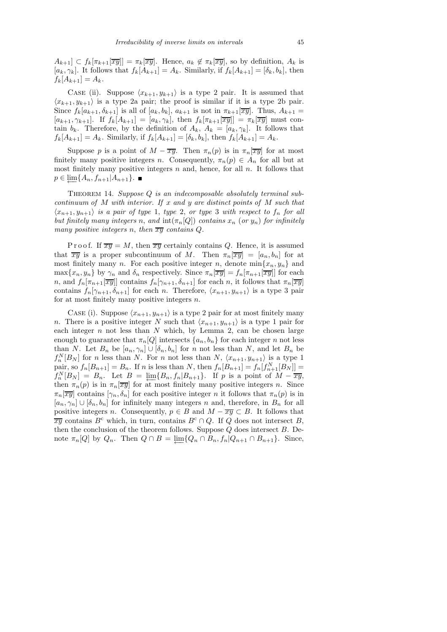$A_{k+1} \subset f_k[\pi_{k+1}[\overline{xy}]]=\pi_k[\overline{xy}]$ . Hence,  $a_k \notin \pi_k[\overline{xy}]$ , so by definition,  $A_k$  is  $[a_k, \gamma_k]$ . It follows that  $f_k[A_{k+1}] = A_k$ . Similarly, if  $f_k[A_{k+1}] = [\delta_k, b_k]$ , then  $f_k[A_{k+1}] = A_k.$ 

CASE (ii). Suppose  $\langle x_{k+1}, y_{k+1} \rangle$  is a type 2 pair. It is assumed that  $\langle x_{k+1}, y_{k+1} \rangle$  is a type 2a pair; the proof is similar if it is a type 2b pair. Since  $f_k[a_{k+1}, \delta_{k+1}]$  is all of  $[a_k, b_k]$ ,  $a_{k+1}$  is not in  $\pi_{k+1}[\overline{xy}]$ . Thus,  $A_{k+1} =$  $[a_{k+1}, \gamma_{k+1}]$ . If  $f_k[A_{k+1}] = [a_k, \gamma_k]$ , then  $f_k[\pi_{k+1}[\overline{xy}]] = \pi_k[\overline{xy}]$  must contain  $b_k$ . Therefore, by the definition of  $A_k$ ,  $A_k = [a_k, \gamma_k]$ . It follows that  $f_k[A_{k+1}] = A_k$ . Similarly, if  $f_k[A_{k+1}] = [\delta_k, b_k]$ , then  $f_k[A_{k+1}] = A_k$ .

Suppose p is a point of  $M - \overline{xy}$ . Then  $\pi_n(p)$  is in  $\pi_n[\overline{xy}]$  for at most finitely many positive integers n. Consequently,  $\pi_n(p) \in A_n$  for all but at most finitely many positive integers  $n$  and, hence, for all  $n$ . It follows that  $p \in \varprojlim \{ A_n, f_{n+1} | A_{n+1} \}.$ 

THEOREM 14. Suppose  $Q$  is an indecomposable absolutely terminal subcontinuum of  $M$  with interior. If  $x$  and  $y$  are distinct points of  $M$  such that  $\langle x_{n+1}, y_{n+1} \rangle$  is a pair of type 1, type 2, or type 3 with respect to  $f_n$  for all but finitely many integers n, and  $\text{int}(\pi_n[Q])$  contains  $x_n$  (or  $y_n$ ) for infinitely many positive integers n, then  $\overline{xy}$  contains  $Q$ .

P r o o f. If  $\overline{xy} = M$ , then  $\overline{xy}$  certainly contains Q. Hence, it is assumed that  $\overline{xy}$  is a proper subcontinuum of M. Then  $\pi_n[\overline{xy}] = [a_n, b_n]$  for at most finitely many n. For each positive integer n, denote  $\min\{x_n, y_n\}$  and  $\max\{x_n, y_n\}$  by  $\gamma_n$  and  $\delta_n$  respectively. Since  $\pi_n[\overline{xy}] = f_n[\pi_{n+1}[\overline{xy}]]$  for each n, and  $f_n[\pi_{n+1}[\overline{xy}]]$  contains  $f_n[\gamma_{n+1}, \delta_{n+1}]$  for each n, it follows that  $\pi_n[\overline{xy}]$ contains  $f_n[\gamma_{n+1}, \delta_{n+1}]$  for each n. Therefore,  $\langle x_{n+1}, y_{n+1} \rangle$  is a type 3 pair for at most finitely many positive integers  $n$ .

CASE (i). Suppose  $\langle x_{n+1}, y_{n+1} \rangle$  is a type 2 pair for at most finitely many n. There is a positive integer N such that  $\langle x_{n+1}, y_{n+1} \rangle$  is a type 1 pair for each integer  $n$  not less than  $N$  which, by Lemma 2, can be chosen large enough to guarantee that  $\pi_n[Q]$  intersects  $\{a_n, b_n\}$  for each integer n not less than N. Let  $B_n$  be  $[a_n, \gamma_n] \cup [\delta_n, \delta_n]$  for n not less than N, and let  $B_n$  be  $f_n^N[B_N]$  for n less than N. For n not less than N,  $\langle x_{n+1}, y_{n+1} \rangle$  is a type 1 pair, so  $f_n[B_{n+1}] = B_n$ . If n is less than N, then  $f_n[B_{n+1}] = f_n[f_{n+1}^N[B_N]] =$  $f_n^N[B_N] = B_n$ . Let  $B = \varprojlim \{B_n, f_n | B_{n+1}\}\$ . If p is a point of  $M - \overline{xy}$ , then  $\pi_n(p)$  is in  $\pi_n[\overline{xy}]$  for at most finitely many positive integers n. Since  $\pi_n[\overline{xy}]$  contains  $[\gamma_n, \delta_n]$  for each positive integer n it follows that  $\pi_n(p)$  is in  $[a_n, \gamma_n] \cup [\delta_n, b_n]$  for infinitely many integers n and, therefore, in  $B_n$  for all positive integers n. Consequently,  $p \in B$  and  $M - \overline{xy} \subset B$ . It follows that  $\overline{xy}$  contains B<sup>c</sup> which, in turn, contains B<sup>c</sup> ∩ Q. If Q does not intersect B, then the conclusion of the theorem follows. Suppose  $Q$  does intersect  $B$ . Denote  $\pi_n[Q]$  by  $Q_n$ . Then  $Q \cap B = \underleftarrow{\lim}_{n} \{Q_n \cap B_n, f_n | Q_{n+1} \cap B_{n+1}\}$ . Since,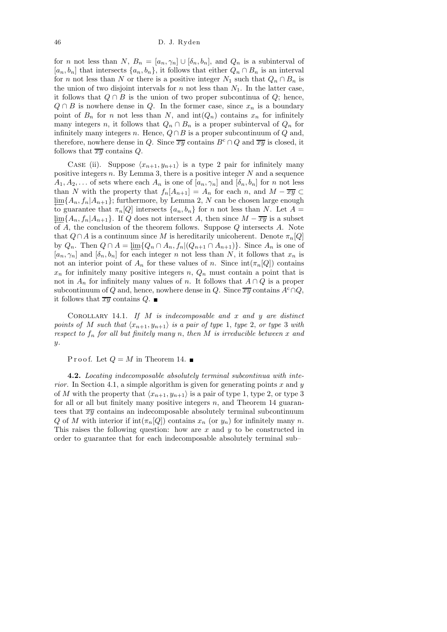for n not less than N,  $B_n = [a_n, \gamma_n] \cup [\delta_n, b_n]$ , and  $Q_n$  is a subinterval of  $[a_n, b_n]$  that intersects  $\{a_n, b_n\}$ , it follows that either  $Q_n \cap B_n$  is an interval for n not less than N or there is a positive integer  $N_1$  such that  $Q_n \cap B_n$  is the union of two disjoint intervals for n not less than  $N_1$ . In the latter case, it follows that  $Q \cap B$  is the union of two proper subcontinua of  $Q$ ; hence,  $Q \cap B$  is nowhere dense in Q. In the former case, since  $x_n$  is a boundary point of  $B_n$  for n not less than N, and  $int(Q_n)$  contains  $x_n$  for infinitely many integers n, it follows that  $Q_n \cap B_n$  is a proper subinterval of  $Q_n$  for infinitely many integers n. Hence,  $Q \cap B$  is a proper subcontinuum of  $Q$  and, therefore, nowhere dense in Q. Since  $\overline{xy}$  contains  $B^c \cap Q$  and  $\overline{xy}$  is closed, it follows that  $\overline{xy}$  contains Q.

CASE (ii). Suppose  $\langle x_{n+1}, y_{n+1} \rangle$  is a type 2 pair for infinitely many positive integers  $n$ . By Lemma 3, there is a positive integer  $N$  and a sequence  $A_1, A_2, \ldots$  of sets where each  $A_n$  is one of  $[a_n, \gamma_n]$  and  $[\delta_n, b_n]$  for n not less than N with the property that  $f_n[A_{n+1}] = A_n$  for each n, and  $M - \overline{xy} \subset$  $\lim_{\epsilon} \{A_n, f_n | A_{n+1}\}$ ; furthermore, by Lemma 2, N can be chosen large enough to guarantee that  $\pi_n[Q]$  intersects  $\{a_n, b_n\}$  for n not less than N. Let  $A =$  $\lim_{\epsilon \to 0} \{A_n, f_n | A_{n+1}\}.$  If Q does not intersect A, then since  $M - \overline{xy}$  is a subset of  $A$ , the conclusion of the theorem follows. Suppose  $Q$  intersects  $A$ . Note that  $Q \cap A$  is a continuum since M is hereditarily unicoherent. Denote  $\pi_n[Q]$ by  $Q_n$ . Then  $Q \cap A = \varprojlim \{ Q_n \cap A_n, f_n | (Q_{n+1} \cap A_{n+1}) \}$ . Since  $A_n$  is one of  $[a_n, \gamma_n]$  and  $[\delta_n, b_n]$  for each integer n not less than N, it follows that  $x_n$  is not an interior point of  $A_n$  for these values of n. Since  $\text{int}(\pi_n|Q|)$  contains  $x_n$  for infinitely many positive integers n,  $Q_n$  must contain a point that is not in  $A_n$  for infinitely many values of n. It follows that  $A \cap Q$  is a proper subcontinuum of Q and, hence, nowhere dense in Q. Since  $\overline{xy}$  contains  $A^c \cap Q$ , it follows that  $\overline{xy}$  contains Q.

COROLLARY 14.1. If  $M$  is indecomposable and  $x$  and  $y$  are distinct points of M such that  $\langle x_{n+1}, y_{n+1} \rangle$  is a pair of type 1, type 2, or type 3 with respect to  $f_n$  for all but finitely many n, then M is irreducible between x and  $\boldsymbol{u}$ .

P r o o f. Let  $Q = M$  in Theorem 14.

4.2. Locating indecomposable absolutely terminal subcontinua with interior. In Section 4.1, a simple algorithm is given for generating points x and y of M with the property that  $\langle x_{n+1}, y_{n+1} \rangle$  is a pair of type 1, type 2, or type 3 for all or all but finitely many positive integers  $n$ , and Theorem 14 guarantees that  $\overline{xy}$  contains an indecomposable absolutely terminal subcontinuum Q of M with interior if  $\text{int}(\pi_n[Q])$  contains  $x_n$  (or  $y_n$ ) for infinitely many n. This raises the following question: how are  $x$  and  $y$  to be constructed in order to guarantee that for each indecomposable absolutely terminal sub–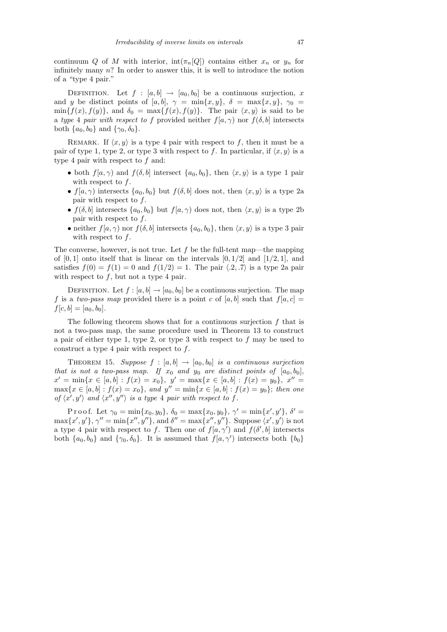continuum Q of M with interior,  $int(\pi_n[Q])$  contains either  $x_n$  or  $y_n$  for infinitely many  $n$ ? In order to answer this, it is well to introduce the notion of a "type 4 pair."

DEFINITION. Let  $f : [a, b] \rightarrow [a_0, b_0]$  be a continuous surjection, x and y be distinct points of [a, b],  $\gamma = \min\{x, y\}$ ,  $\delta = \max\{x, y\}$ ,  $\gamma_0 =$  $\min\{f(x), f(y)\}\text{, and } \delta_0 = \max\{f(x), f(y)\}\text{. The pair } \langle x, y \rangle \text{ is said to be }$ a type 4 pair with respect to f provided neither  $f(a, \gamma)$  nor  $f(\delta, b]$  intersects both  $\{a_0, b_0\}$  and  $\{\gamma_0, \delta_0\}$ .

REMARK. If  $\langle x, y \rangle$  is a type 4 pair with respect to f, then it must be a pair of type 1, type 2, or type 3 with respect to f. In particular, if  $\langle x, y \rangle$  is a type 4 pair with respect to  $f$  and:

- both  $f(a, \gamma)$  and  $f(\delta, b)$  intersect  $\{a_0, b_0\}$ , then  $\langle x, y \rangle$  is a type 1 pair with respect to f.
- $f(a, \gamma)$  intersects  $\{a_0, b_0\}$  but  $f(\delta, b]$  does not, then  $\langle x, y \rangle$  is a type 2a pair with respect to  $f$ .
- $f(\delta, b]$  intersects  $\{a_0, b_0\}$  but  $f(a, \gamma)$  does not, then  $\langle x, y \rangle$  is a type 2b pair with respect to  $f$ .
- neither  $f(a, \gamma)$  nor  $f(\delta, b)$  intersects  $\{a_0, b_0\}$ , then  $\langle x, y \rangle$  is a type 3 pair with respect to  $f$ .

The converse, however, is not true. Let  $f$  be the full-tent map—the mapping of  $[0, 1]$  onto itself that is linear on the intervals  $[0, 1/2]$  and  $[1/2, 1]$ , and satisfies  $f(0) = f(1) = 0$  and  $f(1/2) = 1$ . The pair  $\langle .2, .7 \rangle$  is a type 2a pair with respect to  $f$ , but not a type 4 pair.

DEFINITION. Let  $f : [a, b] \to [a_0, b_0]$  be a continuous surjection. The map f is a two-pass map provided there is a point c of [a, b] such that  $f[a, c] =$  $f[c, b] = [a_0, b_0].$ 

The following theorem shows that for a continuous surjection  $f$  that is not a two-pass map, the same procedure used in Theorem 13 to construct a pair of either type 1, type 2, or type 3 with respect to  $f$  may be used to construct a type 4 pair with respect to  $f$ .

THEOREM 15. Suppose  $f : [a, b] \rightarrow [a_0, b_0]$  is a continuous surjection that is not a two-pass map. If  $x_0$  and  $y_0$  are distinct points of  $[a_0, b_0]$ ,  $x' = \min\{x \in [a, b] : f(x) = x_0\}, \ y' = \max\{x \in [a, b] : f(x) = y_0\}, \ x'' =$  $\max\{x \in [a, b] : f(x) = x_0\}, \text{ and } y'' = \min\{x \in [a, b] : f(x) = y_0\}; \text{ then one}$ of  $\langle x', y' \rangle$  and  $\langle x'', y'' \rangle$  is a type 4 pair with respect to f.

P r o o f. Let  $\gamma_0 = \min\{x_0, y_0\}, \ \delta_0 = \max\{x_0, y_0\}, \ \gamma' = \min\{x', y'\}, \ \delta' =$  $\max\{x', y'\}, \gamma'' = \min\{x'', y''\}, \text{ and } \delta'' = \max\{x'', y''\}.$  Suppose  $\langle x', y' \rangle$  is not a type 4 pair with respect to f. Then one of  $f(a, \gamma')$  and  $f(\delta', b]$  intersects both  $\{a_0, b_0\}$  and  $\{\gamma_0, \delta_0\}$ . It is assumed that  $f(a, \gamma')$  intersects both  $\{b_0\}$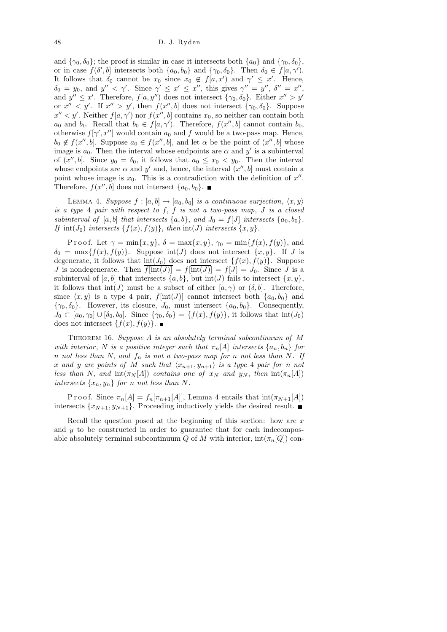and  $\{\gamma_0, \delta_0\}$ ; the proof is similar in case it intersects both  $\{a_0\}$  and  $\{\gamma_0, \delta_0\}$ , or in case  $f(\delta', b]$  intersects both  $\{a_0, b_0\}$  and  $\{\gamma_0, \delta_0\}$ . Then  $\delta_0 \in f[a, \gamma']$ . It follows that  $\delta_0$  cannot be  $x_0$  since  $x_0 \notin f[a, x']$  and  $\gamma' \leq x'$ . Hence,  $\delta_0 = y_0$ , and  $y'' < \gamma'$ . Since  $\gamma' \leq x' \leq x''$ , this gives  $\gamma'' = y''$ ,  $\delta'' = x''$ , and  $y'' \leq x'$ . Therefore,  $f(a, y'')$  does not intersect  $\{\gamma_0, \delta_0\}$ . Either  $x'' > y'$ or  $x'' < y'$ . If  $x'' > y'$ , then  $f(x'', b]$  does not intersect  $\{\gamma_0, \delta_0\}$ . Suppose  $x'' < y'$ . Neither  $f(a, \gamma')$  nor  $f(x'', b]$  contains  $x_0$ , so neither can contain both  $a_0$  and  $b_0$ . Recall that  $b_0 \in f[a, \gamma']$ . Therefore,  $f(x'', b]$  cannot contain  $b_0$ , otherwise  $f[\gamma', x'']$  would contain  $a_0$  and f would be a two-pass map. Hence,  $b_0 \notin f(x'',b]$ . Suppose  $a_0 \in f(x'',b]$ , and let  $\alpha$  be the point of  $(x'',b]$  whose image is  $a_0$ . Then the interval whose endpoints are  $\alpha$  and  $y'$  is a subinterval of  $(x'', b]$ . Since  $y_0 = \delta_0$ , it follows that  $a_0 \leq x_0 < y_0$ . Then the interval whose endpoints are  $\alpha$  and  $y'$  and, hence, the interval  $(x'', b]$  must contain a point whose image is  $x_0$ . This is a contradiction with the definition of  $x''$ . Therefore,  $f(x'', \tilde{b})$  does not intersect  $\{a_0, b_0\}.$ 

LEMMA 4. Suppose  $f : [a, b] \rightarrow [a_0, b_0]$  is a continuous surjection,  $\langle x, y \rangle$ is a type  $4$  pair with respect to  $f, f$  is not a two-pass map,  $J$  is a closed subinterval of [a, b] that intersects  $\{a, b\}$ , and  $J_0 = f[J]$  intersects  $\{a_0, b_0\}$ . If  $int(J_0)$  intersects  $\{f(x), f(y)\}$ , then  $int(J)$  intersects  $\{x, y\}$ .

Proof. Let  $\gamma = \min\{x, y\}, \delta = \max\{x, y\}, \gamma_0 = \min\{f(x), f(y)\}, \text{ and}$  $\delta_0 = \max\{f(x), f(y)\}.$  Suppose  $\text{int}(J)$  does not intersect  $\{x, y\}.$  If J is degenerate, it follows that  $int(J_0)$  does not intersect  $\{f(x), f(y)\}$ . Suppose J is nondegenerate. Then  $\overline{f[\text{int}(J)]} = f[\text{int}(J)] = f[J] = J_0$ . Since J is a subinterval of [a, b] that intersects  $\{a, b\}$ , but int(J) fails to intersect  $\{x, y\}$ , it follows that  $\text{int}(J)$  must be a subset of either  $[a, \gamma)$  or  $(\delta, b]$ . Therefore, since  $\langle x, y \rangle$  is a type 4 pair, f[int(J)] cannot intersect both  $\{a_0, b_0\}$  and  ${\gamma_0, \delta_0}$ . However, its closure,  $J_0$ , must intersect  ${a_0, b_0}$ . Consequently,  $J_0 \subset [a_0, \gamma_0] \cup [\delta_0, \delta_0]$ . Since  $\{\gamma_0, \delta_0\} = \{f(x), f(y)\}$ , it follows that  $\text{int}(J_0)$ does not intersect  $\{f(x), f(y)\}\.$ 

THEOREM 16. Suppose  $A$  is an absolutely terminal subcontinuum of  $M$ with interior, N is a positive integer such that  $\pi_n[A]$  intersects  $\{a_n, b_n\}$  for n not less than N, and  $f_n$  is not a two-pass map for n not less than N. If x and y are points of M such that  $\langle x_{n+1}, y_{n+1} \rangle$  is a type 4 pair for n not less than N, and  $\text{int}(\pi_N[A])$  contains one of  $x_N$  and  $y_N$ , then  $\text{int}(\pi_n[A])$ intersects  $\{x_n, y_n\}$  for n not less than N.

P r o o f. Since  $\pi_n[A] = f_n[\pi_{n+1}[A]]$ , Lemma 4 entails that  $\text{int}(\pi_{N+1}[A])$ intersects  $\{x_{N+1}, y_{N+1}\}.$  Proceeding inductively yields the desired result.

Recall the question posed at the beginning of this section: how are  $x$ and  $y$  to be constructed in order to guarantee that for each indecomposable absolutely terminal subcontinuum Q of M with interior,  $\text{int}(\pi_n[Q])$  con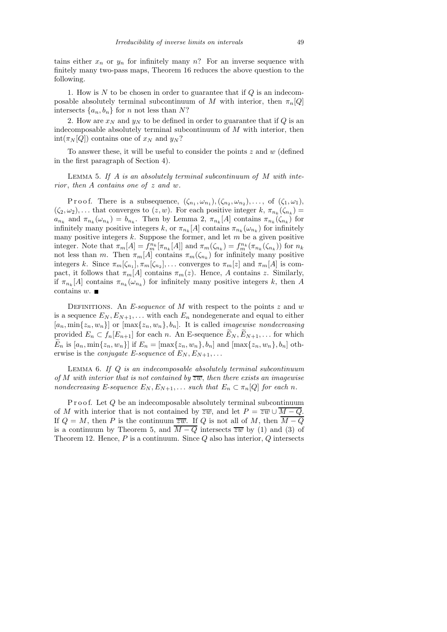tains either  $x_n$  or  $y_n$  for infinitely many n? For an inverse sequence with finitely many two-pass maps, Theorem 16 reduces the above question to the following.

1. How is  $N$  to be chosen in order to guarantee that if  $Q$  is an indecomposable absolutely terminal subcontinuum of M with interior, then  $\pi_n[Q]$ intersects  $\{a_n, b_n\}$  for n not less than N?

2. How are  $x_N$  and  $y_N$  to be defined in order to guarantee that if Q is an indecomposable absolutely terminal subcontinuum of  $M$  with interior, then  $int(\pi_N[Q])$  contains one of  $x_N$  and  $y_N$ ?

To answer these, it will be useful to consider the points  $z$  and  $w$  (defined in the first paragraph of Section 4).

LEMMA 5. If  $A$  is an absolutely terminal subcontinuum of  $M$  with interior, then  $A$  contains one of  $z$  and  $w$ .

Proof. There is a subsequence,  $(\zeta_{n_1}, \omega_{n_1}), (\zeta_{n_2}, \omega_{n_2}), \ldots$ , of  $(\zeta_1, \omega_1)$ ,  $(\zeta_2,\omega_2),\ldots$  that converges to  $(z,w)$ . For each positive integer  $k, \pi_{n_k}(\zeta_{n_k}) =$  $a_{n_k}$  and  $\pi_{n_k}(\omega_{n_k}) = b_{n_k}$ . Then by Lemma 2,  $\pi_{n_k}[A]$  contains  $\pi_{n_k}(\zeta_{n_k})$  for infinitely many positive integers k, or  $\pi_{n_k}[A]$  contains  $\pi_{n_k}(\omega_{n_k})$  for infinitely many positive integers  $k$ . Suppose the former, and let  $m$  be a given positive integer. Note that  $\pi_m[A] = f_m^{n_k}[\pi_{n_k}[A]]$  and  $\pi_m(\zeta_{n_k}) = f_m^{n_k}(\pi_{n_k}(\zeta_{n_k}))$  for  $n_k$ not less than m. Then  $\pi_m[A]$  contains  $\pi_m(\zeta_{n_k})$  for infinitely many positive integers k. Since  $\pi_m[\zeta_{n_1}], \pi_m[\zeta_{n_2}], \ldots$  converges to  $\pi_m[z]$  and  $\pi_m[A]$  is compact, it follows that  $\pi_m[A]$  contains  $\pi_m(z)$ . Hence, A contains z. Similarly, if  $\pi_{n_k}[A]$  contains  $\pi_{n_k}(\omega_{n_k})$  for infinitely many positive integers k, then A contains  $w$ .

DEFINITIONS. An E-sequence of M with respect to the points  $z$  and  $w$ is a sequence  $E_N, E_{N+1}, \ldots$  with each  $E_n$  nondegenerate and equal to either  $[a_n, \min\{z_n, w_n\}]$  or  $[\max\{z_n, w_n\}, b_n]$ . It is called *imagewise nondecreasing* provided  $E_n \subset f_n[E_{n+1}]$  for each n. An E-sequence  $E_N, E_{N+1}, \ldots$  for which  $\widetilde{E}_n$  is  $[a_n, \min\{z_n, w_n\}]$  if  $E_n = [\max\{z_n, w_n\}, b_n]$  and  $[\max\{z_n, w_n\}, b_n]$  otherwise is the *conjugate E-sequence* of  $E_N, E_{N+1}, \ldots$ 

LEMMA 6. If  $Q$  is an indecomposable absolutely terminal subcontinuum of M with interior that is not contained by  $\overline{zw}$ , then there exists an imagewise nondecreasing E-sequence  $E_N, E_{N+1}, \ldots$  such that  $E_n \subset \pi_n[Q]$  for each n.

Proof. Let  $Q$  be an indecomposable absolutely terminal subcontinuum of M with interior that is not contained by  $\overline{zw}$ , and let  $P = \overline{zw} \cup \overline{M-Q}$ . If  $Q = M$ , then P is the continuum  $\overline{zw}$ . If Q is not all of M, then  $\overline{M-Q}$ is a continuum by Theorem 5, and  $\overline{M-Q}$  intersects  $\overline{zw}$  by (1) and (3) of Theorem 12. Hence,  $P$  is a continuum. Since  $Q$  also has interior,  $Q$  intersects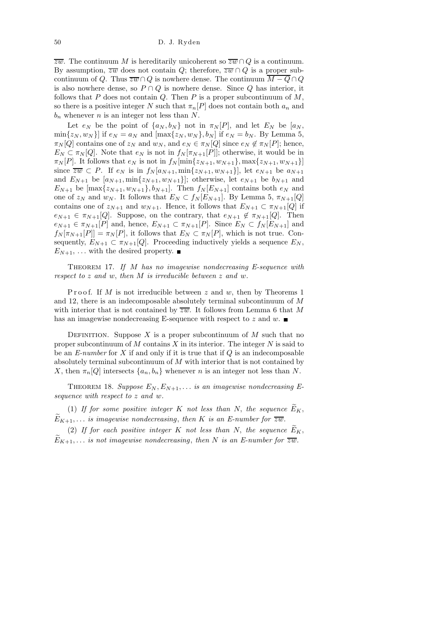$\overline{zw}$ . The continuum M is hereditarily unicoherent so  $\overline{zw} \cap Q$  is a continuum. By assumption,  $\overline{zw}$  does not contain Q; therefore,  $\overline{zw} \cap Q$  is a proper subcontinuum of Q. Thus  $\overline{zw} \cap Q$  is nowhere dense. The continuum  $\overline{M-Q} \cap Q$ is also nowhere dense, so  $P \cap Q$  is nowhere dense. Since Q has interior, it follows that P does not contain  $Q$ . Then P is a proper subcontinuum of  $M$ , so there is a positive integer N such that  $\pi_n[P]$  does not contain both  $a_n$  and  $b_n$  whenever n is an integer not less than N.

Let  $e_N$  be the point of  $\{a_N, b_N\}$  not in  $\pi_N[P]$ , and let  $E_N$  be  $[a_N, b_N]$  $\min\{z_N, w_N\}$  if  $e_N = a_N$  and  $[\max\{z_N, w_N\}, b_N]$  if  $e_N = b_N$ . By Lemma 5,  $\pi_N[Q]$  contains one of  $z_N$  and  $w_N$ , and  $e_N \in \pi_N[Q]$  since  $e_N \notin \pi_N[P]$ ; hence,  $E_N \subset \pi_N[Q]$ . Note that  $e_N$  is not in  $f_N[\pi_{N+1}[P]]$ ; otherwise, it would be in  $\pi_N[P]$ . It follows that  $e_N$  is not in  $f_N[\min\{z_{N+1}, w_{N+1}\}, \max\{z_{N+1}, w_{N+1}\}]$ since  $\overline{zw} \subset P$ . If  $e_N$  is in  $f_N[a_{N+1}, \min\{z_{N+1}, w_{N+1}\}]$ , let  $e_{N+1}$  be  $a_{N+1}$ and  $E_{N+1}$  be  $[a_{N+1}, \min\{z_{N+1}, w_{N+1}\}]$ ; otherwise, let  $e_{N+1}$  be  $b_{N+1}$  and  $E_{N+1}$  be  $[\max\{z_{N+1}, w_{N+1}\}, b_{N+1}]$ . Then  $f_N[E_{N+1}]$  contains both  $e_N$  and one of  $z_N$  and  $w_N$ . It follows that  $E_N \subset f_N[E_{N+1}]$ . By Lemma 5,  $\pi_{N+1}[Q]$ contains one of  $z_{N+1}$  and  $w_{N+1}$ . Hence, it follows that  $E_{N+1} \subset \pi_{N+1}[Q]$  if  $e_{N+1} \in \pi_{N+1}[Q]$ . Suppose, on the contrary, that  $e_{N+1} \notin \pi_{N+1}[Q]$ . Then  $e_{N+1} \in \pi_{N+1}[P]$  and, hence,  $E_{N+1} \subset \pi_{N+1}[P]$ . Since  $E_N \subset f_N[E_{N+1}]$  and  $f_N[\pi_{N+1}[P]] = \pi_N[P]$ , it follows that  $E_N \subset \pi_N[P]$ , which is not true. Consequently,  $E_{N+1} \subset \pi_{N+1}[Q]$ . Proceeding inductively yields a sequence  $E_N$ ,  $E_{N+1}$ , ... with the desired property.

THEOREM 17. If M has no imagewise nondecreasing E-sequence with respect to z and w, then M is irreducible between z and w.

Proof. If M is not irreducible between  $z$  and  $w$ , then by Theorems 1 and 12, there is an indecomposable absolutely terminal subcontinuum of M with interior that is not contained by  $\overline{zw}$ . It follows from Lemma 6 that M has an imagewise nondecreasing E-sequence with respect to z and w.

DEFINITION. Suppose X is a proper subcontinuum of M such that no proper subcontinuum of  $M$  contains  $X$  in its interior. The integer  $N$  is said to be an  $E\text{-}number$  for X if and only if it is true that if  $Q$  is an indecomposable absolutely terminal subcontinuum of M with interior that is not contained by X, then  $\pi_n[Q]$  intersects  $\{a_n, b_n\}$  whenever n is an integer not less than N.

THEOREM 18. Suppose  $E_N, E_{N+1}, \ldots$  is an imagewise nondecreasing Esequence with respect to z and w.

(1) If for some positive integer K not less than N, the sequence  $\widetilde{E}_K$ ,  $\widetilde{E}_{K+1}, \ldots$  is imagewise nondecreasing, then K is an E-number for  $\overline{zw}$ .

(2) If for each positive integer K not less than N, the sequence  $\widetilde{E}_K$ ,  $\widetilde{E}_{K+1}, \ldots$  is not imagewise nondecreasing, then N is an E-number for  $\overline{zw}$ .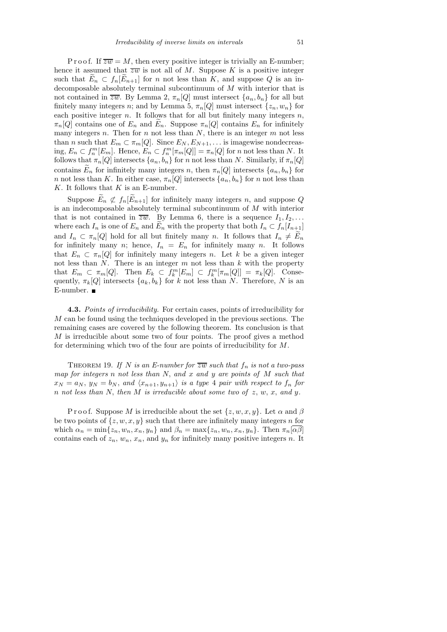P r o o f. If  $\overline{zw} = M$ , then every positive integer is trivially an E-number; hence it assumed that  $\overline{zw}$  is not all of M. Suppose K is a positive integer such that  $\widetilde{E}_n \subset f_n[\widetilde{E}_{n+1}]$  for n not less than K, and suppose Q is an indecomposable absolutely terminal subcontinuum of M with interior that is not contained in  $\overline{zw}$ . By Lemma 2,  $\pi_n[Q]$  must intersect  $\{a_n, b_n\}$  for all but finitely many integers n; and by Lemma 5,  $\pi_n[Q]$  must intersect  $\{z_n, w_n\}$  for each positive integer  $n$ . It follows that for all but finitely many integers  $n$ ,  $\pi_n[Q]$  contains one of  $E_n$  and  $E_n$ . Suppose  $\pi_n[Q]$  contains  $E_n$  for infinitely many integers  $n$ . Then for  $n$  not less than  $N$ , there is an integer  $m$  not less than *n* such that  $E_m \subset \pi_m[Q]$ . Since  $E_N, E_{N+1}, \ldots$  is imagewise nondecreasing,  $E_n \subset f_n^m[E_m]$ . Hence,  $E_n \subset f_n^m[\pi_m[Q]] = \pi_n[Q]$  for n not less than N. It follows that  $\pi_n[Q]$  intersects  $\{a_n, b_n\}$  for n not less than N. Similarly, if  $\pi_n[Q]$ contains  $\widetilde{E}_n$  for infinitely many integers n, then  $\pi_n[Q]$  intersects  $\{a_n, b_n\}$  for n not less than K. In either case,  $\pi_n[Q]$  intersects  $\{a_n, b_n\}$  for n not less than  $K$ . It follows that  $K$  is an E-number.

Suppose  $\widetilde{E}_n \not\subset f_n[\widetilde{E}_{n+1}]$  for infinitely many integers n, and suppose Q is an indecomposable absolutely terminal subcontinuum of  $M$  with interior that is not contained in  $\overline{zw}$ . By Lemma 6, there is a sequence  $I_1, I_2, \ldots$ where each  $I_n$  is one of  $E_n$  and  $E_n$  with the property that both  $I_n \subset f_n[I_{n+1}]$ and  $I_n \subset \pi_n[Q]$  hold for all but finitely many n. It follows that  $I_n \neq \widetilde{E}_n$ for infinitely many n; hence,  $I_n = E_n$  for infinitely many n. It follows that  $E_n \subset \pi_n[Q]$  for infinitely many integers n. Let k be a given integer not less than  $N$ . There is an integer  $m$  not less than  $k$  with the property that  $E_m \subset \pi_m[Q]$ . Then  $E_k \subset \tilde{f}_k^m[E_m] \subset f_k^m[\pi_m[Q]] = \pi_k[Q]$ . Consequently,  $\pi_k[Q]$  intersects  $\{a_k, b_k\}$  for k not less than N. Therefore, N is an E-number.

4.3. Points of irreducibility. For certain cases, points of irreducibility for M can be found using the techniques developed in the previous sections. The remaining cases are covered by the following theorem. Its conclusion is that M is irreducible about some two of four points. The proof gives a method for determining which two of the four are points of irreducibility for M.

THEOREM 19. If N is an E-number for  $\overline{zw}$  such that  $f_n$  is not a two-pass map for integers n not less than  $N$ , and  $x$  and  $y$  are points of  $M$  such that  $x_N = a_N$ ,  $y_N = b_N$ , and  $\langle x_{n+1}, y_{n+1} \rangle$  is a type 4 pair with respect to  $f_n$  for  $n$  not less than  $N$ , then  $M$  is irreducible about some two of  $z$ ,  $w$ ,  $x$ , and  $y$ .

P r o o f. Suppose M is irreducible about the set  $\{z, w, x, y\}$ . Let  $\alpha$  and  $\beta$ be two points of  $\{z, w, x, y\}$  such that there are infinitely many integers n for which  $\alpha_n = \min\{z_n, w_n, x_n, y_n\}$  and  $\beta_n = \max\{z_n, w_n, x_n, y_n\}$ . Then  $\pi_n[\overline{\alpha\beta}]$ contains each of  $z_n$ ,  $w_n$ ,  $x_n$ , and  $y_n$  for infinitely many positive integers n. It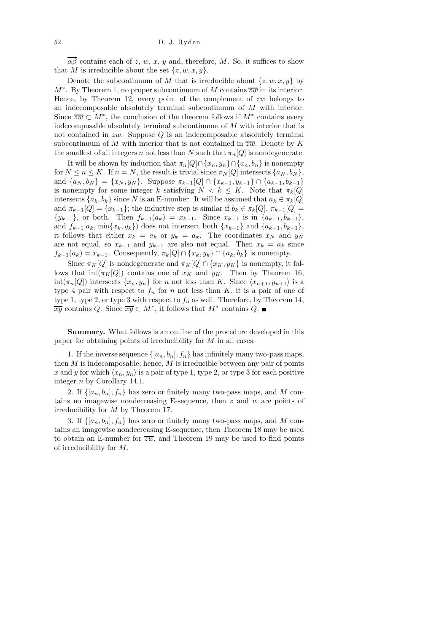$\overline{\alpha\beta}$  contains each of z, w, x, y and, therefore, M. So, it suffices to show that M is irreducible about the set  $\{z, w, x, y\}.$ 

Denote the subcontinuum of M that is irreducible about  $\{z, w, x, y\}$  by  $M^*$ . By Theorem 1, no proper subcontinuum of M contains  $\overline{zw}$  in its interior. Hence, by Theorem 12, every point of the complement of  $\overline{zw}$  belongs to an indecomposable absolutely terminal subcontinuum of M with interior. Since  $\overline{zw} \subset M^*$ , the conclusion of the theorem follows if  $M^*$  contains every indecomposable absolutely terminal subcontinuum of M with interior that is not contained in  $\overline{zw}$ . Suppose Q is an indecomposable absolutely terminal subcontinuum of M with interior that is not contained in  $\overline{zw}$ . Denote by K the smallest of all integers n not less than N such that  $\pi_n[Q]$  is nondegenerate.

It will be shown by induction that  $\pi_n[Q] \cap \{x_n, y_n\} \cap \{a_n, b_n\}$  is nonempty for  $N \le n \le K$ . If  $n = N$ , the result is trivial since  $\pi_N[Q]$  intersects  $\{a_N, b_N\}$ , and  $\{a_N, b_N\} = \{x_N, y_N\}$ . Suppose  $\pi_{k-1}[Q] \cap \{x_{k-1}, y_{k-1}\} \cap \{a_{k-1}, b_{k-1}\}$ is nonempty for some integer k satisfying  $N < k \leq K$ . Note that  $\pi_k[Q]$ intersects  $\{a_k, b_k\}$  since N is an E-number. It will be assumed that  $a_k \in \pi_k[Q]$ and  $\pi_{k-1}[Q] = \{x_{k-1}\}$ ; the inductive step is similar if  $b_k \in \pi_k[Q], \pi_{k-1}[Q] =$  $\{y_{k-1}\}\$ , or both. Then  $f_{k-1}(a_k) = x_{k-1}$ . Since  $x_{k-1}$  is in  $\{a_{k-1}, b_{k-1}\}\$ , and  $f_{k-1}[a_k, \min\{x_k, y_k\}]$  does not intersect both  $\{x_{k-1}\}\$  and  $\{a_{k-1}, b_{k-1}\}\$ , it follows that either  $x_k = a_k$  or  $y_k = a_k$ . The coordinates  $x_N$  and  $y_N$ are not equal, so  $x_{k-1}$  and  $y_{k-1}$  are also not equal. Then  $x_k = a_k$  since  $f_{k-1}(a_k) = x_{k-1}$ . Consequently,  $\pi_k[Q] \cap \{x_k, y_k\} \cap \{a_k, b_k\}$  is nonempty.

Since  $\pi_K[Q]$  is nondegenerate and  $\pi_K[Q] \cap \{x_K, y_K\}$  is nonempty, it follows that  $\text{int}(\pi_K[Q])$  contains one of  $x_K$  and  $y_K$ . Then by Theorem 16,  $\text{int}(\pi_n[Q])$  intersects  $\{x_n, y_n\}$  for n not less than K. Since  $\langle x_{n+1}, y_{n+1}\rangle$  is a type 4 pair with respect to  $f_n$  for n not less than  $K$ , it is a pair of one of type 1, type 2, or type 3 with respect to  $f_n$  as well. Therefore, by Theorem 14,  $\frac{d}{dx}$  contains Q. Since  $\overline{xy} \subset M^*$ , it follows that  $M^*$  contains Q.

Summary. What follows is an outline of the procedure developed in this paper for obtaining points of irreducibility for M in all cases.

1. If the inverse sequence  $\{[a_n, b_n], f_n\}$  has infinitely many two-pass maps, then  $M$  is indecomposable; hence,  $M$  is irreducible between any pair of points x and y for which  $\langle x_n, y_n \rangle$  is a pair of type 1, type 2, or type 3 for each positive integer n by Corollary 14.1.

2. If  $\{[a_n, b_n], f_n\}$  has zero or finitely many two-pass maps, and M contains no imagewise nondecreasing E-sequence, then  $z$  and  $w$  are points of irreducibility for M by Theorem 17.

3. If  $\{[a_n, b_n], f_n\}$  has zero or finitely many two-pass maps, and M contains an imagewise nondecreasing E-sequence, then Theorem 18 may be used to obtain an E-number for  $\overline{zw}$ , and Theorem 19 may be used to find points of irreducibility for M.